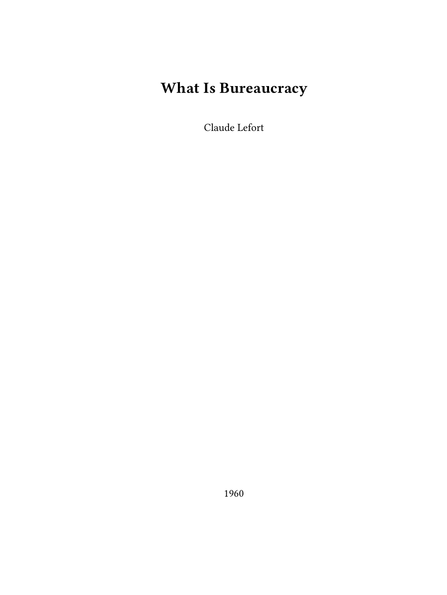# **What Is Bureaucracy**

Claude Lefort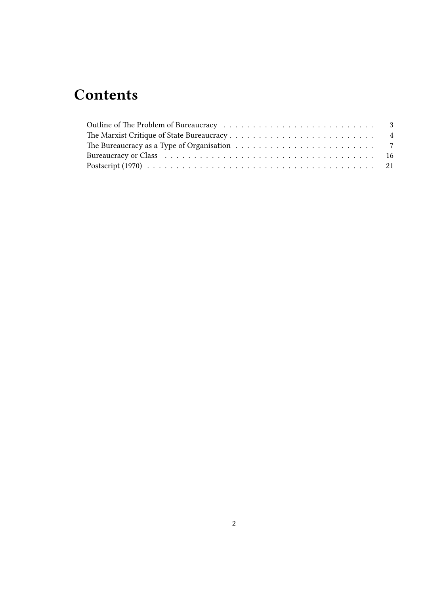# **Contents**

| The Bureaucracy as a Type of Organisation $\ldots \ldots \ldots \ldots \ldots \ldots \ldots \ldots$ |  |
|-----------------------------------------------------------------------------------------------------|--|
|                                                                                                     |  |
|                                                                                                     |  |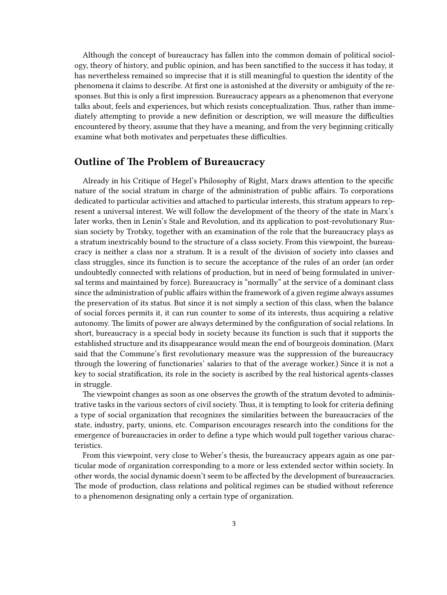Although the concept of bureaucracy has fallen into the common domain of political sociology, theory of history, and public opinion, and has been sanctified to the success it has today, it has nevertheless remained so imprecise that it is still meaningful to question the identity of the phenomena it claims to describe. At first one is astonished at the diversity or ambiguity of the responses. But this is only a first impression. Bureaucracy appears as a phenomenon that everyone talks about, feels and experiences, but which resists conceptualization. Thus, rather than immediately attempting to provide a new definition or description, we will measure the difficulties encountered by theory, assume that they have a meaning, and from the very beginning critically examine what both motivates and perpetuates these difficulties.

#### <span id="page-2-0"></span>**Outline of The Problem of Bureaucracy**

Already in his Critique of Hegel's Philosophy of Right, Marx draws attention to the specific nature of the social stratum in charge of the administration of public affairs. To corporations dedicated to particular activities and attached to particular interests, this stratum appears to represent a universal interest. We will follow the development of the theory of the state in Marx's later works, then in Lenin's Stale and Revolution, and its application to post-revolutionary Russian society by Trotsky, together with an examination of the role that the bureaucracy plays as a stratum inextricably bound to the structure of a class society. From this viewpoint, the bureaucracy is neither a class nor a stratum. It is a result of the division of society into classes and class struggles, since its function is to secure the acceptance of the rules of an order (an order undoubtedly connected with relations of production, but in need of being formulated in universal terms and maintained by force). Bureaucracy is "normally" at the service of a dominant class since the administration of public affairs within the framework of a given regime always assumes the preservation of its status. But since it is not simply a section of this class, when the balance of social forces permits it, it can run counter to some of its interests, thus acquiring a relative autonomy. The limits of power are always determined by the configuration of social relations. In short, bureaucracy is a special body in society because its function is such that it supports the established structure and its disappearance would mean the end of bourgeois domination. (Marx said that the Commune's first revolutionary measure was the suppression of the bureaucracy through the lowering of functionaries' salaries to that of the average worker.) Since it is not a key to social stratification, its role in the society is ascribed by the real historical agents-classes in struggle.

The viewpoint changes as soon as one observes the growth of the stratum devoted to administrative tasks in the various sectors of civil society. Thus, it is tempting to look for criteria defining a type of social organization that recognizes the similarities between the bureaucracies of the state, industry, party, unions, etc. Comparison encourages research into the conditions for the emergence of bureaucracies in order to define a type which would pull together various characteristics.

From this viewpoint, very close to Weber's thesis, the bureaucracy appears again as one particular mode of organization corresponding to a more or less extended sector within society. In other words, the social dynamic doesn't seem to be affected by the development of bureaucracies. The mode of production, class relations and political regimes can be studied without reference to a phenomenon designating only a certain type of organization.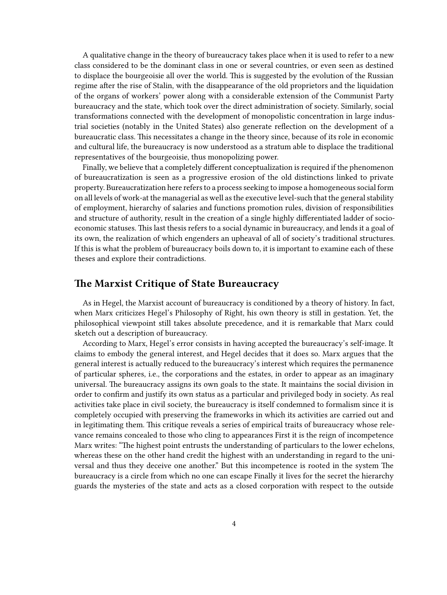A qualitative change in the theory of bureaucracy takes place when it is used to refer to a new class considered to be the dominant class in one or several countries, or even seen as destined to displace the bourgeoisie all over the world. This is suggested by the evolution of the Russian regime after the rise of Stalin, with the disappearance of the old proprietors and the liquidation of the organs of workers' power along with a considerable extension of the Communist Party bureaucracy and the state, which took over the direct administration of society. Similarly, social transformations connected with the development of monopolistic concentration in large industrial societies (notably in the United States) also generate reflection on the development of a bureaucratic class. This necessitates a change in the theory since, because of its role in economic and cultural life, the bureaucracy is now understood as a stratum able to displace the traditional representatives of the bourgeoisie, thus monopolizing power.

Finally, we believe that a completely different conceptualization is required if the phenomenon of bureaucratization is seen as a progressive erosion of the old distinctions linked to private property. Bureaucratization here refers to a process seeking to impose a homogeneous social form on all levels of work-at the managerial as well as the executive level-such that the general stability of employment, hierarchy of salaries and functions promotion rules, division of responsibilities and structure of authority, result in the creation of a single highly differentiated ladder of socioeconomic statuses. This last thesis refers to a social dynamic in bureaucracy, and lends it a goal of its own, the realization of which engenders an upheaval of all of society's traditional structures. If this is what the problem of bureaucracy boils down to, it is important to examine each of these theses and explore their contradictions.

# <span id="page-3-0"></span>**The Marxist Critique of State Bureaucracy**

As in Hegel, the Marxist account of bureaucracy is conditioned by a theory of history. In fact, when Marx criticizes Hegel's Philosophy of Right, his own theory is still in gestation. Yet, the philosophical viewpoint still takes absolute precedence, and it is remarkable that Marx could sketch out a description of bureaucracy.

According to Marx, Hegel's error consists in having accepted the bureaucracy's self-image. It claims to embody the general interest, and Hegel decides that it does so. Marx argues that the general interest is actually reduced to the bureaucracy's interest which requires the permanence of particular spheres, i.e., the corporations and the estates, in order to appear as an imaginary universal. The bureaucracy assigns its own goals to the state. It maintains the social division in order to confirm and justify its own status as a particular and privileged body in society. As real activities take place in civil society, the bureaucracy is itself condemned to formalism since it is completely occupied with preserving the frameworks in which its activities are carried out and in legitimating them. This critique reveals a series of empirical traits of bureaucracy whose relevance remains concealed to those who cling to appearances First it is the reign of incompetence Marx writes: "The highest point entrusts the understanding of particulars to the lower echelons, whereas these on the other hand credit the highest with an understanding in regard to the universal and thus they deceive one another." But this incompetence is rooted in the system The bureaucracy is a circle from which no one can escape Finally it lives for the secret the hierarchy guards the mysteries of the state and acts as a closed corporation with respect to the outside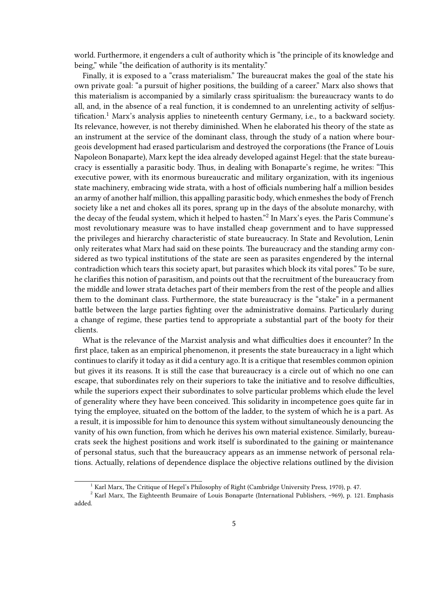world. Furthermore, it engenders a cult of authority which is "the principle of its knowledge and being," while "the deification of authority is its mentality."

Finally, it is exposed to a "crass materialism." The bureaucrat makes the goal of the state his own private goal: "a pursuit of higher positions, the building of a career." Marx also shows that this materialism is accompanied by a similarly crass spiritualism: the bureaucracy wants to do all, and, in the absence of a real function, it is condemned to an unrelenting activity of selfjustification.<sup>1</sup> Marx's analysis applies to nineteenth century Germany, i.e., to a backward society. Its relevance, however, is not thereby diminished. When he elaborated his theory of the state as an instrument at the service of the dominant class, through the study of a nation where bourgeois development had erased particularism and destroyed the corporations (the France of Louis Napoleon Bonaparte), Marx kept the idea already developed against Hegel: that the state bureaucracy is essentially a parasitic body. Thus, in dealing with Bonaparte's regime, he writes: "This executive power, with its enormous bureaucratic and military organization, with its ingenious state machinery, embracing wide strata, with a host of officials numbering half a million besides an army of another half million, this appalling parasitic body, which enmeshes the body of French society like a net and chokes all its pores, sprang up in the days of the absolute monarchy, with the decay of the feudal system, which it helped to hasten."<sup>2</sup> In Marx's eyes. the Paris Commune's most revolutionary measure was to have installed cheap government and to have suppressed the privileges and hierarchy characteristic of state bureaucracy. In State and Revolution, Lenin only reiterates what Marx had said on these points. The bureaucracy and the standing army considered as two typical institutions of the state are seen as parasites engendered by the internal contradiction which tears this society apart, but parasites which block its vital pores." To be sure, he clarifies this notion of parasitism, and points out that the recruitment of the bureaucracy from the middle and lower strata detaches part of their members from the rest of the people and allies them to the dominant class. Furthermore, the state bureaucracy is the "stake" in a permanent battle between the large parties fighting over the administrative domains. Particularly during a change of regime, these parties tend to appropriate a substantial part of the booty for their clients.

What is the relevance of the Marxist analysis and what difficulties does it encounter? In the first place, taken as an empirical phenomenon, it presents the state bureaucracy in a light which continues to clarify it today as it did a century ago. It is a critique that resembles common opinion but gives it its reasons. It is still the case that bureaucracy is a circle out of which no one can escape, that subordinates rely on their superiors to take the initiative and to resolve difficulties, while the superiors expect their subordinates to solve particular problems which elude the level of generality where they have been conceived. This solidarity in incompetence goes quite far in tying the employee, situated on the bottom of the ladder, to the system of which he is a part. As a result, it is impossible for him to denounce this system without simultaneously denouncing the vanity of his own function, from which he derives his own material existence. Similarly, bureaucrats seek the highest positions and work itself is subordinated to the gaining or maintenance of personal status, such that the bureaucracy appears as an immense network of personal relations. Actually, relations of dependence displace the objective relations outlined by the division

<sup>&</sup>lt;sup>1</sup> Karl Marx, The Critique of Hegel's Philosophy of Right (Cambridge University Press, 1970), p. 47.

<sup>&</sup>lt;sup>2</sup> Karl Marx, The Eighteenth Brumaire of Louis Bonaparte (International Publishers, ~969), p. 121. Emphasis added.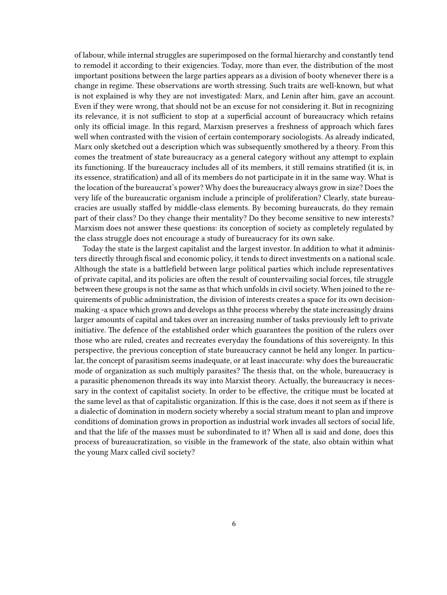of labour, while internal struggles are superimposed on the formal hierarchy and constantly tend to remodel it according to their exigencies. Today, more than ever, the distribution of the most important positions between the large parties appears as a division of booty whenever there is a change in regime. These observations are worth stressing. Such traits are well-known, but what is not explained is why they are not investigated: Marx, and Lenin after him, gave an account. Even if they were wrong, that should not be an excuse for not considering it. But in recognizing its relevance, it is not sufficient to stop at a superficial account of bureaucracy which retains only its official image. In this regard, Marxism preserves a freshness of approach which fares well when contrasted with the vision of certain contemporary sociologists. As already indicated, Marx only sketched out a description which was subsequently smothered by a theory. From this comes the treatment of state bureaucracy as a general category without any attempt to explain its functioning. If the bureaucracy includes all of its members, it still remains stratified (it is, in its essence, stratification) and all of its members do not participate in it in the same way. What is the location of the bureaucrat's power? Why does the bureaucracy always grow in size? Does the very life of the bureaucratic organism include a principle of proliferation? Clearly, state bureaucracies are usually staffed by middle-class elements. By becoming bureaucrats, do they remain part of their class? Do they change their mentality? Do they become sensitive to new interests? Marxism does not answer these questions: its conception of society as completely regulated by the class struggle does not encourage a study of bureaucracy for its own sake.

Today the state is the largest capitalist and the largest investor. In addition to what it administers directly through fiscal and economic policy, it tends to direct investments on a national scale. Although the state is a battlefield between large political parties which include representatives of private capital, and its policies are often the result of countervailing social forces, tile struggle between these groups is not the same as that which unfolds in civil society. When joined to the requirements of public administration, the division of interests creates a space for its own decisionmaking -a space which grows and develops as thhe process whereby the state increasingly drains larger amounts of capital and takes over an increasing number of tasks previously left to private initiative. The defence of the established order which guarantees the position of the rulers over those who are ruled, creates and recreates everyday the foundations of this sovereignty. In this perspective, the previous conception of state bureaucracy cannot be held any longer. In particular, the concept of parasitism seems inadequate, or at least inaccurate: why does the bureaucratic mode of organization as such multiply parasites? The thesis that, on the whole, bureaucracy is a parasitic phenomenon threads its way into Marxist theory. Actually, the bureaucracy is necessary in the context of capitalist society. In order to be effective, the critique must be located at the same level as that of capitalistic organization. If this is the case, does it not seem as if there is a dialectic of domination in modern society whereby a social stratum meant to plan and improve conditions of domination grows in proportion as industrial work invades all sectors of social life, and that the life of the masses must be subordinated to it? When all is said and done, does this process of bureaucratization, so visible in the framework of the state, also obtain within what the young Marx called civil society?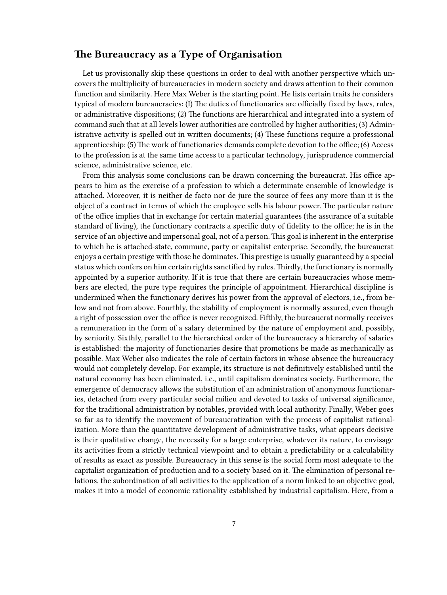### <span id="page-6-0"></span>**The Bureaucracy as a Type of Organisation**

Let us provisionally skip these questions in order to deal with another perspective which uncovers the multiplicity of bureaucracies in modern society and draws attention to their common function and similarity. Here Max Weber is the starting point. He lists certain traits he considers typical of modern bureaucracies: (I) The duties of functionaries are officially fixed by laws, rules, or administrative dispositions; (2) The functions are hierarchical and integrated into a system of command such that at all levels lower authorities are controlled by higher authorities; (3) Administrative activity is spelled out in written documents; (4) These functions require a professional apprenticeship; (5) The work of functionaries demands complete devotion to the office; (6) Access to the profession is at the same time access to a particular technology, jurisprudence commercial science, administrative science, etc.

From this analysis some conclusions can be drawn concerning the bureaucrat. His office appears to him as the exercise of a profession to which a determinate ensemble of knowledge is attached. Moreover, it is neither de facto nor de jure the source of fees any more than it is the object of a contract in terms of which the employee sells his labour power. The particular nature of the office implies that in exchange for certain material guarantees (the assurance of a suitable standard of living), the functionary contracts a specific duty of fidelity to the office; he is in the service of an objective and impersonal goal, not of a person. This goal is inherent in the enterprise to which he is attached-state, commune, party or capitalist enterprise. Secondly, the bureaucrat enjoys a certain prestige with those he dominates. This prestige is usually guaranteed by a special status which confers on him certain rights sanctified by rules. Thirdly, the functionary is normally appointed by a superior authority. If it is true that there are certain bureaucracies whose members are elected, the pure type requires the principle of appointment. Hierarchical discipline is undermined when the functionary derives his power from the approval of electors, i.e., from below and not from above. Fourthly, the stability of employment is normally assured, even though a right of possession over the office is never recognized. Fifthly, the bureaucrat normally receives a remuneration in the form of a salary determined by the nature of employment and, possibly, by seniority. Sixthly, parallel to the hierarchical order of the bureaucracy a hierarchy of salaries is established: the majority of functionaries desire that promotions be made as mechanically as possible. Max Weber also indicates the role of certain factors in whose absence the bureaucracy would not completely develop. For example, its structure is not definitively established until the natural economy has been eliminated, i.e., until capitalism dominates society. Furthermore, the emergence of democracy allows the substitution of an administration of anonymous functionaries, detached from every particular social milieu and devoted to tasks of universal significance, for the traditional administration by notables, provided with local authority. Finally, Weber goes so far as to identify the movement of bureaucratization with the process of capitalist rationalization. More than the quantitative development of administrative tasks, what appears decisive is their qualitative change, the necessity for a large enterprise, whatever its nature, to envisage its activities from a strictly technical viewpoint and to obtain a predictability or a calculability of results as exact as possible. Bureaucracy in this sense is the social form most adequate to the capitalist organization of production and to a society based on it. The elimination of personal relations, the subordination of all activities to the application of a norm linked to an objective goal, makes it into a model of economic rationality established by industrial capitalism. Here, from a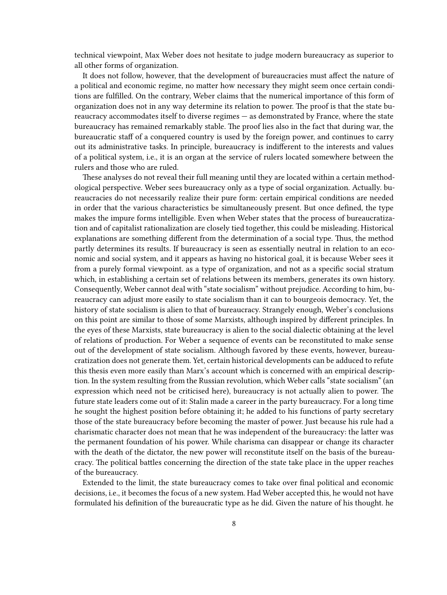technical viewpoint, Max Weber does not hesitate to judge modern bureaucracy as superior to all other forms of organization.

It does not follow, however, that the development of bureaucracies must affect the nature of a political and economic regime, no matter how necessary they might seem once certain conditions are fulfilled. On the contrary, Weber claims that the numerical importance of this form of organization does not in any way determine its relation to power. The proof is that the state bureaucracy accommodates itself to diverse regimes — as demonstrated by France, where the state bureaucracy has remained remarkably stable. The proof lies also in the fact that during war, the bureaucratic staff of a conquered country is used by the foreign power, and continues to carry out its administrative tasks. In principle, bureaucracy is indifferent to the interests and values of a political system, i.e., it is an organ at the service of rulers located somewhere between the rulers and those who are ruled.

These analyses do not reveal their full meaning until they are located within a certain methodological perspective. Weber sees bureaucracy only as a type of social organization. Actually. bureaucracies do not necessarily realize their pure form: certain empirical conditions are needed in order that the various characteristics be simultaneously present. But once defined, the type makes the impure forms intelligible. Even when Weber states that the process of bureaucratization and of capitalist rationalization are closely tied together, this could be misleading. Historical explanations are something different from the determination of a social type. Thus, the method partly determines its results. If bureaucracy is seen as essentially neutral in relation to an economic and social system, and it appears as having no historical goal, it is because Weber sees it from a purely formal viewpoint. as a type of organization, and not as a specific social stratum which, in establishing a certain set of relations between its members, generates its own history. Consequently, Weber cannot deal with "state socialism" without prejudice. According to him, bureaucracy can adjust more easily to state socialism than it can to bourgeois democracy. Yet, the history of state socialism is alien to that of bureaucracy. Strangely enough, Weber's conclusions on this point are similar to those of some Marxists, although inspired by different principles. In the eyes of these Marxists, state bureaucracy is alien to the social dialectic obtaining at the level of relations of production. For Weber a sequence of events can be reconstituted to make sense out of the development of state socialism. Although favored by these events, however, bureaucratization does not generate them. Yet, certain historical developments can be adduced to refute this thesis even more easily than Marx's account which is concerned with an empirical description. In the system resulting from the Russian revolution, which Weber calls "state socialism" (an expression which need not be criticised here), bureaucracy is not actually alien to power. The future state leaders come out of it: Stalin made a career in the party bureaucracy. For a long time he sought the highest position before obtaining it; he added to his functions of party secretary those of the state bureaucracy before becoming the master of power. Just because his rule had a charismatic character does not mean that he was independent of the bureaucracy: the latter was the permanent foundation of his power. While charisma can disappear or change its character with the death of the dictator, the new power will reconstitute itself on the basis of the bureaucracy. The political battles concerning the direction of the state take place in the upper reaches of the bureaucracy.

Extended to the limit, the state bureaucracy comes to take over final political and economic decisions, i.e., it becomes the focus of a new system. Had Weber accepted this, he would not have formulated his definition of the bureaucratic type as he did. Given the nature of his thought. he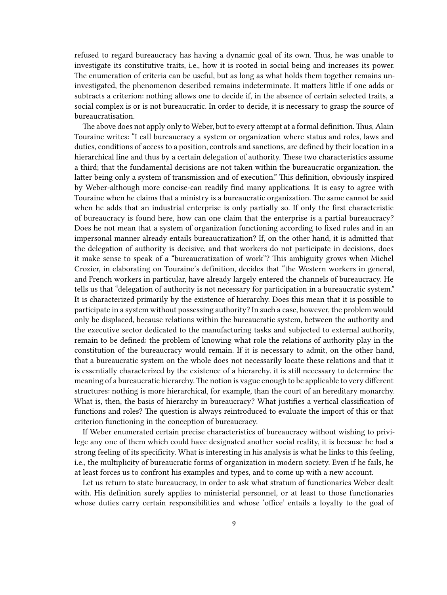refused to regard bureaucracy has having a dynamic goal of its own. Thus, he was unable to investigate its constitutive traits, i.e., how it is rooted in social being and increases its power. The enumeration of criteria can be useful, but as long as what holds them together remains uninvestigated, the phenomenon described remains indeterminate. It matters little if one adds or subtracts a criterion: nothing allows one to decide if, in the absence of certain selected traits, a social complex is or is not bureaucratic. In order to decide, it is necessary to grasp the source of bureaucratisation.

The above does not apply only to Weber, but to every attempt at a formal definition. Thus, Alain Touraine writes: "I call bureaucracy a system or organization where status and roles, laws and duties, conditions of access to a position, controls and sanctions, are defined by their location in a hierarchical line and thus by a certain delegation of authority. These two characteristics assume a third; that the fundamental decisions are not taken within the bureaucratic organization. the latter being only a system of transmission and of execution." This definition, obviously inspired by Weber-although more concise-can readily find many applications. It is easy to agree with Touraine when he claims that a ministry is a bureaucratic organization. The same cannot be said when he adds that an industrial enterprise is only partially so. If only the first characteristic of bureaucracy is found here, how can one claim that the enterprise is a partial bureaucracy? Does he not mean that a system of organization functioning according to fixed rules and in an impersonal manner already entails bureaucratization? If, on the other hand, it is admitted that the delegation of authority is decisive, and that workers do not participate in decisions, does it make sense to speak of a "bureaucratization of work"? This ambiguity grows when Michel Crozier, in elaborating on Touraine's definition, decides that "the Western workers in general, and French workers in particular, have already largely entered the channels of bureaucracy. He tells us that "delegation of authority is not necessary for participation in a bureaucratic system." It is characterized primarily by the existence of hierarchy. Does this mean that it is possible to participate in a system without possessing authority? In such a case, however, the problem would only be displaced, because relations within the bureaucratic system, between the authority and the executive sector dedicated to the manufacturing tasks and subjected to external authority, remain to be defined: the problem of knowing what role the relations of authority play in the constitution of the bureaucracy would remain. If it is necessary to admit, on the other hand, that a bureaucratic system on the whole does not necessarily locate these relations and that it is essentially characterized by the existence of a hierarchy. it is still necessary to determine the meaning of a bureaucratic hierarchy.The notion is vague enough to be applicable to very different structures: nothing is more hierarchical, for example, than the court of an hereditary monarchy. What is, then, the basis of hierarchy in bureaucracy? What justifies a vertical classification of functions and roles? The question is always reintroduced to evaluate the import of this or that criterion functioning in the conception of bureaucracy.

If Weber enumerated certain precise characteristics of bureaucracy without wishing to privilege any one of them which could have designated another social reality, it is because he had a strong feeling of its specificity. What is interesting in his analysis is what he links to this feeling, i.e., the multiplicity of bureaucratic forms of organization in modern society. Even if he fails, he at least forces us to confront his examples and types, and to come up with a new account.

Let us return to state bureaucracy, in order to ask what stratum of functionaries Weber dealt with. His definition surely applies to ministerial personnel, or at least to those functionaries whose duties carry certain responsibilities and whose 'office' entails a loyalty to the goal of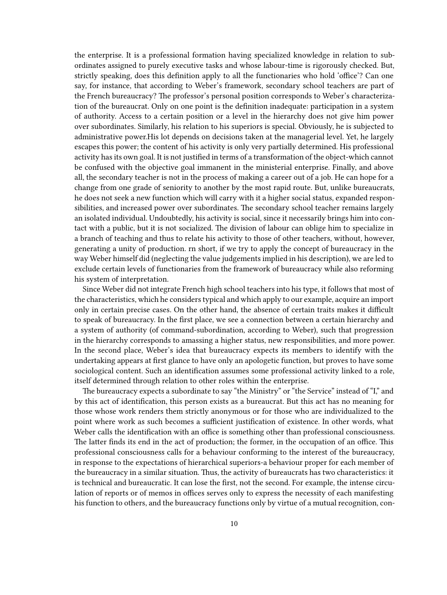the enterprise. It is a professional formation having specialized knowledge in relation to subordinates assigned to purely executive tasks and whose labour-time is rigorously checked. But, strictly speaking, does this definition apply to all the functionaries who hold 'office'? Can one say, for instance, that according to Weber's framework, secondary school teachers are part of the French bureaucracy? The professor's personal position corresponds to Weber's characterization of the bureaucrat. Only on one point is the definition inadequate: participation in a system of authority. Access to a certain position or a level in the hierarchy does not give him power over subordinates. Similarly, his relation to his superiors is special. Obviously, he is subjected to administrative power.His lot depends on decisions taken at the managerial level. Yet, he largely escapes this power; the content of his activity is only very partially determined. His professional activity has its own goal. It is not justified in terms of a transformation of the object-which cannot be confused with the objective goal immanent in the ministerial enterprise. Finally, and above all, the secondary teacher is not in the process of making a career out of a job. He can hope for a change from one grade of seniority to another by the most rapid route. But, unlike bureaucrats, he does not seek a new function which will carry with it a higher social status, expanded responsibilities, and increased power over subordinates. The secondary school teacher remains largely an isolated individual. Undoubtedly, his activity is social, since it necessarily brings him into contact with a public, but it is not socialized. The division of labour can oblige him to specialize in a branch of teaching and thus to relate his activity to those of other teachers, without, however, generating a unity of production. rn short, if we try to apply the concept of bureaucracy in the way Weber himself did (neglecting the value judgements implied in his description), we are led to exclude certain levels of functionaries from the framework of bureaucracy while also reforming his system of interpretation.

Since Weber did not integrate French high school teachers into his type, it follows that most of the characteristics, which he considers typical and which apply to our example, acquire an import only in certain precise cases. On the other hand, the absence of certain traits makes it difficult to speak of bureaucracy. In the first place, we see a connection between a certain hierarchy and a system of authority (of command-subordination, according to Weber), such that progression in the hierarchy corresponds to amassing a higher status, new responsibilities, and more power. In the second place, Weber's idea that bureaucracy expects its members to identify with the undertaking appears at first glance to have only an apologetic function, but proves to have some sociological content. Such an identification assumes some professional activity linked to a role, itself determined through relation to other roles within the enterprise.

The bureaucracy expects a subordinate to say "the Ministry" or "the Service" instead of "I," and by this act of identification, this person exists as a bureaucrat. But this act has no meaning for those whose work renders them strictly anonymous or for those who are individualized to the point where work as such becomes a sufficient justification of existence. In other words, what Weber calls the identification with an office is something other than professional consciousness. The latter finds its end in the act of production; the former, in the occupation of an office. This professional consciousness calls for a behaviour conforming to the interest of the bureaucracy, in response to the expectations of hierarchical superiors-a behaviour proper for each member of the bureaucracy in a similar situation. Thus, the activity of bureaucrats has two characteristics: it is technical and bureaucratic. It can lose the first, not the second. For example, the intense circulation of reports or of memos in offices serves only to express the necessity of each manifesting his function to others, and the bureaucracy functions only by virtue of a mutual recognition, con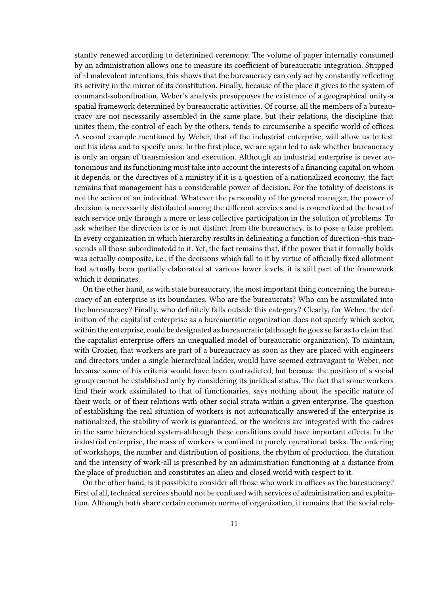stantly renewed according to determined ceremony. The volume of paper internally consumed by an administration allows one to measure its coefficient of bureaucratic integration. Stripped of ~l malevolent intentions, this shows that the bureaucracy can only act by constantly reflecting its activity in the mirror of its constitution. Finally, because of the place it gives to the system of command-subordination, Weber's analysis presupposes the existence of a geographical unity-a spatial framework determined by bureaucratic activities. Of course, all the members of a bureaucracy are not necessarily assembled in the same place, but their relations, the discipline that unites them, the control of each by the others, tends to circumscribe a specific world of offices. A second example mentioned by Weber, that of the industrial enterprise, will allow us to test out his ideas and to specify ours. In the first place, we are again led to ask whether bureaucracy is only an organ of transmission and execution. Although an industrial enterprise is never autonomous and its functioning must take into account the interests of a financing capital on whom it depends, or the directives of a ministry if it is a question of a nationalized economy, the fact remains that management has a considerable power of decision. For the totality of decisions is not the action of an individual. Whatever the personality of the general manager, the power of decision is necessarily distributed among the different services and is concretized at the heart of each service only through a more or less collective participation in the solution of problems. To ask whether the direction is or is not distinct from the bureaucracy, is to pose a false problem. In every organization in which hierarchy results in delineating a function of direction -this transcends all those subordinatedd to it. Yet, the fact remains that, if the power that it formally holds was actually composite, i.e., if the decisions which fall to it by virtue of officially fixed allotment had actually been partially elaborated at various lower levels, it is still part of the framework which it dominates.

On the other hand, as with state bureaucracy, the most important thing concerning the bureaucracy of an enterprise is its boundaries. Who are the bureaucrats? Who can be assimilated into the bureaucracy? Finally, who definitely falls outside this category? Clearly, for Weber, the definition of the capitalist enterprise as a bureaucratic organization does not specify which sector, within the enterprise, could be designated as bureaucratic (although he goes so far as to claim that the capitalist enterprise offers an unequalled model of bureaucratic organization). To maintain, with Crozier, that workers are part of a bureaucracy as soon as they are placed with engineers and directors under a single hierarchical ladder, would have seemed extravagant to Weber, not because some of his criteria would have been contradicted, but because the position of a social group cannot be established only by considering its juridical status. The fact that some workers find their work assimilated to that of functionaries, says nothing about the specific nature of their work, or of their relations with other social strata within a given enterprise. The question of establishing the real situation of workers is not automatically answered if the enterprise is nationalized, the stability of work is guaranteed, or the workers are integrated with the cadres in the same hierarchical system-although these conditions could have important effects. In the industrial enterprise, the mass of workers is confined to purely operational tasks. The ordering of workshops, the number and distribution of positions, the rhythm of production, the duration and the intensity of work-all is prescribed by an administration functioning at a distance from the place of production and constitutes an alien and closed world with respect to it.

On the other hand, is it possible to consider all those who work in offices as the bureaucracy? First of all, technical services should not be confused with services of administration and exploitation. Although both share certain common norms of organization, it remains that the social rela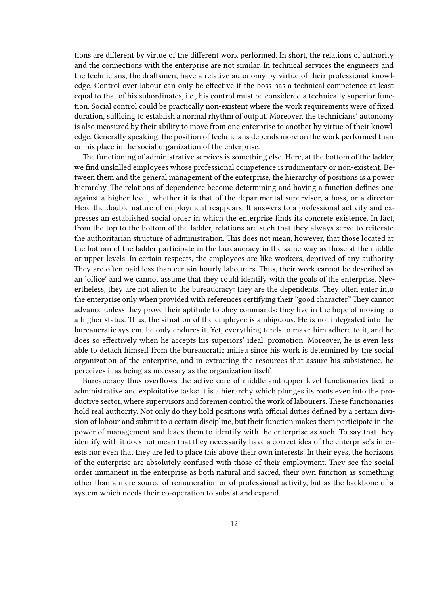tions are different by virtue of the different work performed. In short, the relations of authority and the connections with the enterprise are not similar. In technical services the engineers and the technicians, the draftsmen, have a relative autonomy by virtue of their professional knowledge. Control over labour can only be effective if the boss has a technical competence at least equal to that of his subordinates, i.e., his control must be considered a technically superior function. Social control could be practically non-existent where the work requirements were of fixed duration, sufficing to establish a normal rhythm of output. Moreover, the technicians' autonomy is also measured by their ability to move from one enterprise to another by virtue of their knowledge. Generally speaking, the position of technicians depends more on the work performed than on his place in the social organization of the enterprise.

The functioning of administrative services is something else. Here, at the bottom of the ladder, we find unskilled employees whose professional competence is rudimentary or non-existent. Between them and the general management of the enterprise, the hierarchy of positions is a power hierarchy. The relations of dependence become determining and having a function defines one against a higher level, whether it is that of the departmental supervisor, a boss, or a director. Here the double nature of employment reappears. It answers to a professional activity and expresses an established social order in which the enterprise finds its concrete existence. In fact, from the top to the bottom of the ladder, relations are such that they always serve to reiterate the authoritarian structure of administration. This does not mean, however, that those located at the bottom of the ladder participate in the bureaucracy in the same way as those at the middle or upper levels. In certain respects, the employees are like workers, deprived of any authority. They are often paid less than certain hourly labourers. Thus, their work cannot be described as an 'office' and we cannot assume that they could identify with the goals of the enterprise. Nevertheless, they are not alien to the bureaucracy: they are the dependents. They often enter into the enterprise only when provided with references certifying their "good character." They cannot advance unless they prove their aptitude to obey commands: they live in the hope of moving to a higher status. Thus, the situation of the employee is ambiguous. He is not integrated into the bureaucratic system. lie only endures it. Yet, everything tends to make him adhere to it, and he does so effectively when he accepts his superiors' ideal: promotion. Moreover, he is even less able to detach himself from the bureaucratic milieu since his work is determined by the social organization of the enterprise, and in extracting the resources that assure his subsistence, he perceives it as being as necessary as the organization itself.

Bureaucracy thus overflows the active core of middle and upper level functionaries tied to administrative and exploitative tasks: it is a hierarchy which plunges its roots even into the productive sector, where supervisors and foremen control the work of labourers. These functionaries hold real authority. Not only do they hold positions with official duties defined by a certain division of labour and submit to a certain discipline, but their function makes them participate in the power of management and leads them to identify with the enterprise as such. To say that they identify with it does not mean that they necessarily have a correct idea of the enterprise's interests nor even that they are led to place this above their own interests. In their eyes, the horizons of the enterprise are absolutely confused with those of their employment. They see the social order immanent in the enterprise as both natural and sacred, their own function as something other than a mere source of remuneration or of professional activity, but as the backbone of a system which needs their co-operation to subsist and expand.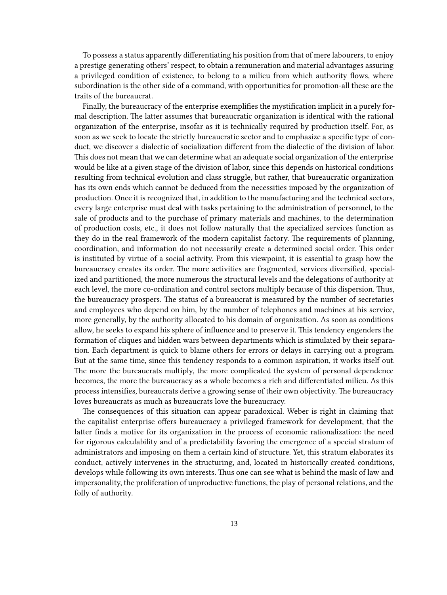To possess a status apparently differentiating his position from that of mere labourers, to enjoy a prestige generating others' respect, to obtain a remuneration and material advantages assuring a privileged condition of existence, to belong to a milieu from which authority flows, where subordination is the other side of a command, with opportunities for promotion-all these are the traits of the bureaucrat.

Finally, the bureaucracy of the enterprise exemplifies the mystification implicit in a purely formal description. The latter assumes that bureaucratic organization is identical with the rational organization of the enterprise, insofar as it is technically required by production itself. For, as soon as we seek to locate the strictly bureaucratic sector and to emphasize a specific type of conduct, we discover a dialectic of socialization different from the dialectic of the division of labor. This does not mean that we can determine what an adequate social organization of the enterprise would be like at a given stage of the division of labor, since this depends on historical conditions resulting from technical evolution and class struggle, but rather, that bureaucratic organization has its own ends which cannot be deduced from the necessities imposed by the organization of production. Once it is recognized that, in addition to the manufacturing and the technical sectors, every large enterprise must deal with tasks pertaining to the administration of personnel, to the sale of products and to the purchase of primary materials and machines, to the determination of production costs, etc., it does not follow naturally that the specialized services function as they do in the real framework of the modern capitalist factory. The requirements of planning, coordination, and information do not necessarily create a determined social order. This order is instituted by virtue of a social activity. From this viewpoint, it is essential to grasp how the bureaucracy creates its order. The more activities are fragmented, services diversified, specialized and partitioned, the more numerous the structural levels and the delegations of authority at each level, the more co-ordination and control sectors multiply because of this dispersion. Thus, the bureaucracy prospers. The status of a bureaucrat is measured by the number of secretaries and employees who depend on him, by the number of telephones and machines at his service, more generally, by the authority allocated to his domain of organization. As soon as conditions allow, he seeks to expand his sphere of influence and to preserve it. This tendency engenders the formation of cliques and hidden wars between departments which is stimulated by their separation. Each department is quick to blame others for errors or delays in carrying out a program. But at the same time, since this tendency responds to a common aspiration, it works itself out. The more the bureaucrats multiply, the more complicated the system of personal dependence becomes, the more the bureaucracy as a whole becomes a rich and differentiated milieu. As this process intensifies, bureaucrats derive a growing sense of their own objectivity. The bureaucracy loves bureaucrats as much as bureaucrats love the bureaucracy.

The consequences of this situation can appear paradoxical. Weber is right in claiming that the capitalist enterprise offers bureaucracy a privileged framework for development, that the latter finds a motive for its organization in the process of economic rationalization: the need for rigorous calculability and of a predictability favoring the emergence of a special stratum of administrators and imposing on them a certain kind of structure. Yet, this stratum elaborates its conduct, actively intervenes in the structuring, and, located in historically created conditions, develops while following its own interests. Thus one can see what is behind the mask of law and impersonality, the proliferation of unproductive functions, the play of personal relations, and the folly of authority.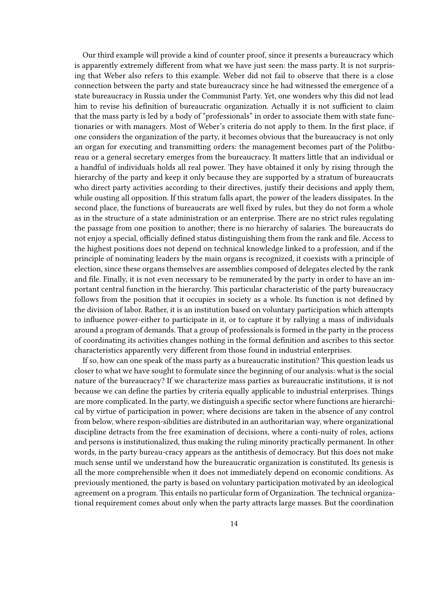Our third example will provide a kind of counter proof, since it presents a bureaucracy which is apparently extremely different from what we have just seen: the mass party. It is not surprising that Weber also refers to this example. Weber did not fail to observe that there is a close connection between the party and state bureaucracy since he had witnessed the emergence of a state bureaucracy in Russia under the Communist Party. Yet, one wonders why this did not lead him to revise his definition of bureaucratic organization. Actually it is not sufficient to claim that the mass party is led by a body of "professionals" in order to associate them with state functionaries or with managers. Most of Weber's criteria do not apply to them. In the first place, if one considers the organization of the party, it becomes obvious that the bureaucracy is not only an organ for executing and transmitting orders: the management becomes part of the Politbureau or a general secretary emerges from the bureaucracy. It matters little that an individual or a handful of individuals holds all real power. They have obtained it only by rising through the hierarchy of the party and keep it only because they are supported by a stratum of bureaucrats who direct party activities according to their directives, justify their decisions and apply them, while ousting all opposition. If this stratum falls apart, the power of the leaders dissipates. In the second place, the functions of bureaucrats are well fixed by rules, but they do not form a whole as in the structure of a state administration or an enterprise. There are no strict rules regulating the passage from one position to another; there is no hierarchy of salaries. The bureaucrats do not enjoy a special, officially defined status distinguishing them from the rank and file. Access to the highest positions does not depend on technical knowledge linked to a profession, and if the principle of nominating leaders by the main organs is recognized, it coexists with a principle of election, since these organs themselves are assemblies composed of delegates elected by the rank and file. Finally, it is not even necessary to be remunerated by the party in order to have an important central function in the hierarchy. This particular characteristic of the party bureaucracy follows from the position that it occupies in society as a whole. Its function is not defined by the division of labor. Rather, it is an institution based on voluntary participation which attempts to influence power-either to participate in it, or to capture it by rallying a mass of individuals around a program of demands. That a group of professionals is formed in the party in the process of coordinating its activities changes nothing in the formal definition and ascribes to this sector characteristics apparently very different from those found in industrial enterprises.

If so, how can one speak of the mass party as a bureaucratic institution? This question leads us closer to what we have sought to formulate since the beginning of our analysis: what is the social nature of the bureaucracy? If we characterize mass parties as bureaucratic institutions, it is not because we can define the parties by criteria equally applicable to industrial enterprises. Things are more complicated. In the party, we distinguish a specific sector where functions are hierarchical by virtue of participation in power; where decisions are taken in the absence of any control from below, where respon-sibilities are distributed in an authoritarian way, where organizational discipline detracts from the free examination of decisions, where a conti-nuity of roles, actions and persons is institutionalized, thus making the ruling minority practically permanent. In other words, in the party bureau-cracy appears as the antithesis of democracy. But this does not make much sense until we understand how the bureaucratic organization is constituted. Its genesis is all the more comprehensible when it does not immediately depend on economic conditions. As previously mentioned, the party is based on voluntary participation motivated by an ideological agreement on a program. This entails no particular form of Organization. The technical organizational requirement comes about only when the party attracts large masses. But the coordination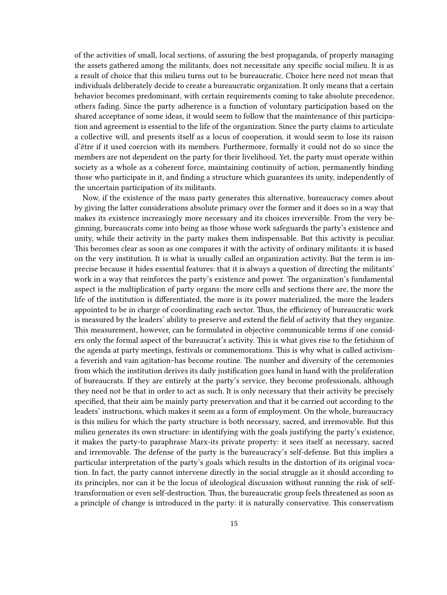of the activities of small, local sections, of assuring the best propaganda, of properly managing the assets gathered among the militants, does not necessitate any specific social milieu. It is as a result of choice that this milieu turns out to be bureaucratic. Choice here need not mean that individuals deliberately decide to create a bureaucratic organization. It only means that a certain behavior becomes predominant, with certain requirements coming to take absolute precedence, others fading. Since the party adherence is a function of voluntary participation based on the shared acceptance of some ideas, it would seem to follow that the maintenance of this participation and agreement is essential to the life of the organization. Since the party claims to articulate a collective will, and presents itself as a locus of cooperation, it would seem to lose its raison d'être if it used coercion with its members. Furthermore, formally it could not do so since the members are not dependent on the party for their livelihood. Yet, the party must operate within society as a whole as a coherent force, maintaining continuity of action, permanently binding those who participate in it, and finding a structure which guarantees its unity, independently of the uncertain participation of its militants.

Now, if the existence of the mass party generates this alternative, bureaucracy comes about by giving the latter considerations absolute primacy over the former and it does so in a way that makes its existence increasingly more necessary and its choices irreversible. From the very beginning, bureaucrats come into being as those whose work safeguards the party's existence and unity, while their activity in the party makes them indispensable. But this activity is peculiar. This becomes clear as soon as one compares it with the activity of ordinary militants: it is based on the very institution. It is what is usually called an organization activity. But the term is imprecise because it hides essential features: that it is always a question of directing the militants' work in a way that reinforces the party's existence and power. The organization's fundamental aspect is the multiplication of party organs: the more cells and sections there are, the more the life of the institution is differentiated, the more is its power materialized, the more the leaders appointed to be in charge of coordinating each sector. Thus, the efficiency of bureaucratic work is measured by the leaders' ability to preserve and extend the field of activity that they organize. This measurement, however, can be formulated in objective communicable terms if one considers only the formal aspect of the bureaucrat's activity. This is what gives rise to the fetishism of the agenda at party meetings, festivals or commemorations. This is why what is called activisma feverish and vain agitation~has become routine. The number and diversity of the ceremonies from which the institution derives its daily justification goes hand in hand with the proliferation of bureaucrats. If they are entirely at the party's service, they become professionals, although they need not be that in order to act as such. It is only necessary that their activity be precisely specified, that their aim be mainly party preservation and that it be carried out according to the leaders' instructions, which makes it seem as a form of employment. On the whole, bureaucracy is this milieu for which the party structure is both necessary, sacred, and irremovable. But this milieu generates its own structure: in identifying with the goals justifying the party's existence, it makes the party-to paraphrase Marx-its private property: it sees itself as necessary, sacred and irremovable. The defense of the party is the bureaucracy's self-defense. But this implies a particular interpretation of the party's goals which results in the distortion of its original vocation. In fact, the party cannot intervene directly in the social struggle as it should according to its principles, nor can it be the locus of ideological discussion without running the risk of selftransformation or even self-destruction. Thus, the bureaucratic group feels threatened as soon as a principle of change is introduced in the party: it is naturally conservative. This conservatism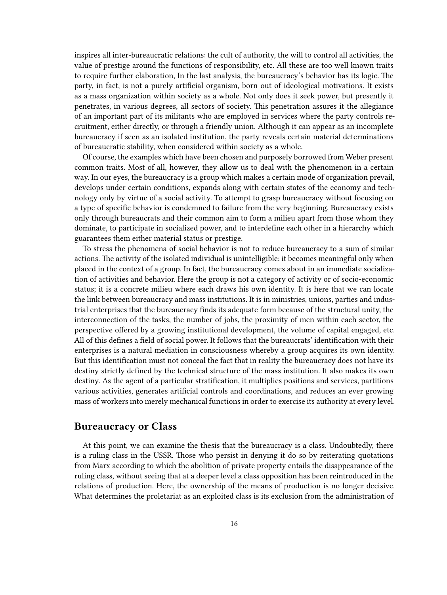inspires all inter-bureaucratic relations: the cult of authority, the will to control all activities, the value of prestige around the functions of responsibility, etc. All these are too well known traits to require further elaboration, In the last analysis, the bureaucracy's behavior has its logic. The party, in fact, is not a purely artificial organism, born out of ideological motivations. It exists as a mass organization within society as a whole. Not only does it seek power, but presently it penetrates, in various degrees, all sectors of society. This penetration assures it the allegiance of an important part of its militants who are employed in services where the party controls recruitment, either directly, or through a friendly union. Although it can appear as an incomplete bureaucracy if seen as an isolated institution, the party reveals certain material determinations of bureaucratic stability, when considered within society as a whole.

Of course, the examples which have been chosen and purposely borrowed from Weber present common traits. Most of all, however, they allow us to deal with the phenomenon in a certain way. In our eyes, the bureaucracy is a group which makes a certain mode of organization prevail, develops under certain conditions, expands along with certain states of the economy and technology only by virtue of a social activity. To attempt to grasp bureaucracy without focusing on a type of specific behavior is condemned to failure from the very beginning. Bureaucracy exists only through bureaucrats and their common aim to form a milieu apart from those whom they dominate, to participate in socialized power, and to interdefine each other in a hierarchy which guarantees them either material status or prestige.

To stress the phenomena of social behavior is not to reduce bureaucracy to a sum of similar actions. The activity of the isolated individual is unintelligible: it becomes meaningful only when placed in the context of a group. In fact, the bureaucracy comes about in an immediate socialization of activities and behavior. Here the group is not a category of activity or of socio-economic status; it is a concrete milieu where each draws his own identity. It is here that we can locate the link between bureaucracy and mass institutions. It is in ministries, unions, parties and industrial enterprises that the bureaucracy finds its adequate form because of the structural unity, the interconnection of the tasks, the number of jobs, the proximity of men within each sector, the perspective offered by a growing institutional development, the volume of capital engaged, etc. All of this defines a field of social power. It follows that the bureaucrats' identification with their enterprises is a natural mediation in consciousness whereby a group acquires its own identity. But this identification must not conceal the fact that in reality the bureaucracy does not have its destiny strictly defined by the technical structure of the mass institution. It also makes its own destiny. As the agent of a particular stratification, it multiplies positions and services, partitions various activities, generates artificial controls and coordinations, and reduces an ever growing mass of workers into merely mechanical functions in order to exercise its authority at every level.

#### <span id="page-15-0"></span>**Bureaucracy or Class**

At this point, we can examine the thesis that the bureaucracy is a class. Undoubtedly, there is a ruling class in the USSR. Those who persist in denying it do so by reiterating quotations from Marx according to which the abolition of private property entails the disappearance of the ruling class, without seeing that at a deeper level a class opposition has been reintroduced in the relations of production. Here, the ownership of the means of production is no longer decisive. What determines the proletariat as an exploited class is its exclusion from the administration of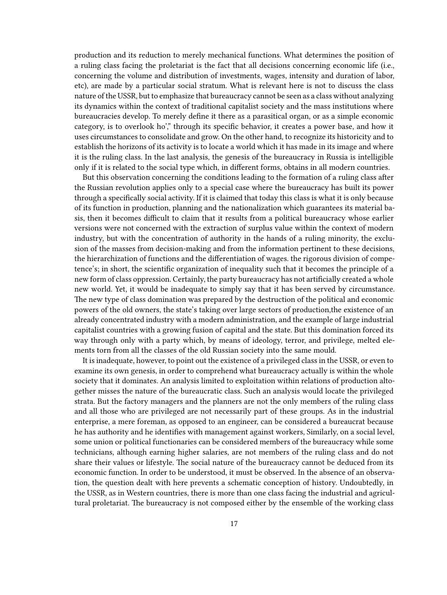production and its reduction to merely mechanical functions. What determines the position of a ruling class facing the proletariat is the fact that all decisions concerning economic life (i.e., concerning the volume and distribution of investments, wages, intensity and duration of labor, etc), are made by a particular social stratum. What is relevant here is not to discuss the class nature of the USSR, but to emphasize that bureaucracy cannot be seen as a class without analyzing its dynamics within the context of traditional capitalist society and the mass institutions where bureaucracies develop. To merely define it there as a parasitical organ, or as a simple economic category, is to overlook ho'," through its specific behavior, it creates a power base, and how it uses circumstances to consolidate and grow. On the other hand, to recognize its historicity and to establish the horizons of its activity is to locate a world which it has made in its image and where it is the ruling class. In the last analysis, the genesis of the bureaucracy in Russia is intelligible only if it is related to the social type which, in different forms, obtains in all modern countries.

But this observation concerning the conditions leading to the formation of a ruling class after the Russian revolution applies only to a special case where the bureaucracy has built its power through a specifically social activity. If it is claimed that today this class is what it is only because of its function in production, planning and the nationalization which guarantees its material basis, then it becomes difficult to claim that it results from a political bureaucracy whose earlier versions were not concerned with the extraction of surplus value within the context of modern industry, but with the concentration of authority in the hands of a ruling minority, the exclusion of the masses from decision-making and from the information pertinent to these decisions, the hierarchization of functions and the differentiation of wages. the rigorous division of competence's; in short, the scientific organization of inequality such that it becomes the principle of a new form of class oppression. Certainly, the party bureaucracy has not artificially created a whole new world. Yet, it would be inadequate to simply say that it has been served by circumstance. The new type of class domination was prepared by the destruction of the political and economic powers of the old owners, the state's taking over large sectors of production,the existence of an already concentrated industry with a modern administration, and the example of large industrial capitalist countries with a growing fusion of capital and the state. But this domination forced its way through only with a party which, by means of ideology, terror, and privilege, melted elements torn from all the classes of the old Russian society into the same mould.

It is inadequate, however, to point out the existence of a privileged class in the USSR, or even to examine its own genesis, in order to comprehend what bureaucracy actually is within the whole society that it dominates. An analysis limited to exploitation within relations of production altogether misses the nature of the bureaucratic class. Such an analysis would locate the privileged strata. But the factory managers and the planners are not the only members of the ruling class and all those who are privileged are not necessarily part of these groups. As in the industrial enterprise, a mere foreman, as opposed to an engineer, can be considered a bureaucrat because he has authority and he identifies with management against workers, Similarly, on a social level, some union or political functionaries can be considered members of the bureaucracy while some technicians, although earning higher salaries, are not members of the ruling class and do not share their values or lifestyle. The social nature of the bureaucracy cannot be deduced from its economic function. In order to be understood, it must be observed. In the absence of an observation, the question dealt with here prevents a schematic conception of history. Undoubtedly, in the USSR, as in Western countries, there is more than one class facing the industrial and agricultural proletariat. The bureaucracy is not composed either by the ensemble of the working class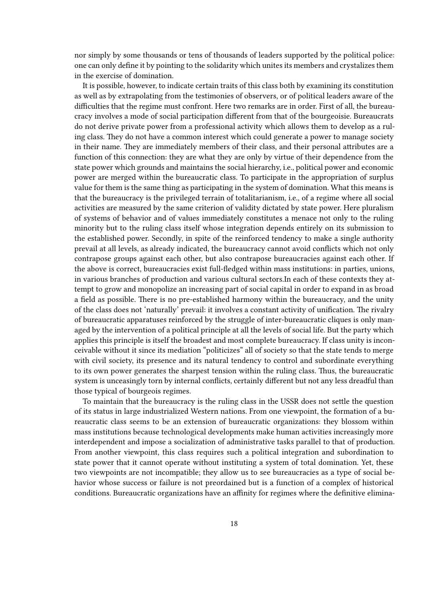nor simply by some thousands or tens of thousands of leaders supported by the political police: one can only define it by pointing to the solidarity which unites its members and crystalizes them in the exercise of domination.

It is possible, however, to indicate certain traits of this class both by examining its constitution as well as by extrapolating from the testimonies of observers, or of political leaders aware of the difficulties that the regime must confront. Here two remarks are in order. First of all, the bureaucracy involves a mode of social participation different from that of the bourgeoisie. Bureaucrats do not derive private power from a professional activity which allows them to develop as a ruling class. They do not have a common interest which could generate a power to manage society in their name. They are immediately members of their class, and their personal attributes are a function of this connection: they are what they are only by virtue of their dependence from the state power which grounds and maintains the social hierarchy, i.e., political power and economic power are merged within the bureaucratic class. To participate in the appropriation of surplus value for them is the same thing as participating in the system of domination. What this means is that the bureaucracy is the privileged terrain of totalitarianism, i.e., of a regime where all social activities are measured by the same criterion of validity dictated by state power. Here pluralism of systems of behavior and of values immediately constitutes a menace not only to the ruling minority but to the ruling class itself whose integration depends entirely on its submission to the established power. Secondly, in spite of the reinforced tendency to make a single authority prevail at all levels, as already indicated, the bureaucracy cannot avoid conflicts which not only contrapose groups against each other, but also contrapose bureaucracies against each other. If the above is correct, bureaucracies exist full-fledged within mass institutions: in parties, unions, in various branches of production and various cultural sectors.In each of these contexts they attempt to grow and monopolize an increasing part of social capital in order to expand in as broad a field as possible. There is no pre-established harmony within the bureaucracy, and the unity of the class does not 'naturally' prevail: it involves a constant activity of unification. The rivalry of bureaucratic apparatuses reinforced by the struggle of inter-bureaucratic cliques is only managed by the intervention of a political principle at all the levels of social life. But the party which applies this principle is itself the broadest and most complete bureaucracy. If class unity is inconceivable without it since its mediation "politicizes" all of society so that the state tends to merge with civil society, its presence and its natural tendency to control and subordinate everything to its own power generates the sharpest tension within the ruling class. Thus, the bureaucratic system is unceasingly torn by internal conflicts, certainly different but not any less dreadful than those typical of bourgeois regimes.

To maintain that the bureaucracy is the ruling class in the USSR does not settle the question of its status in large industrialized Western nations. From one viewpoint, the formation of a bureaucratic class seems to be an extension of bureaucratic organizations: they blossom within mass institutions because technological developments make human activities increasingly more interdependent and impose a socialization of administrative tasks parallel to that of production. From another viewpoint, this class requires such a political integration and subordination to state power that it cannot operate without instituting a system of total domination. Yet, these two viewpoints are not incompatible; they allow us to see bureaucracies as a type of social behavior whose success or failure is not preordained but is a function of a complex of historical conditions. Bureaucratic organizations have an affinity for regimes where the definitive elimina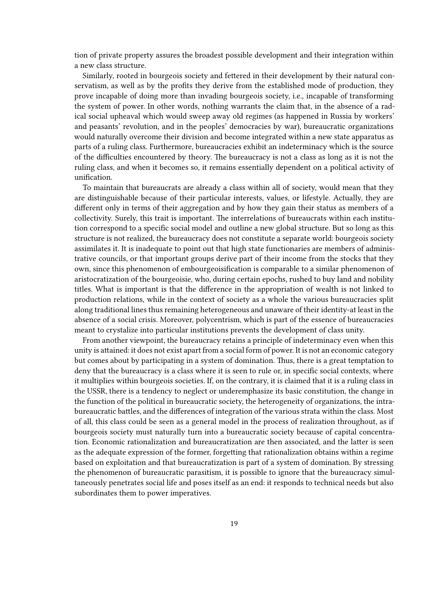tion of private property assures the broadest possible development and their integration within a new class structure.

Similarly, rooted in bourgeois society and fettered in their development by their natural conservatism, as well as by the profits they derive from the established mode of production, they prove incapable of doing more than invading bourgeois society, i.e., incapable of transforming the system of power. In other words, nothing warrants the claim that, in the absence of a radical social upheaval which would sweep away old regimes (as happened in Russia by workers' and peasants' revolution, and in the peoples' democracies by war), bureaucratic organizations would naturally overcome their division and become integrated within a new state apparatus as parts of a ruling class. Furthermore, bureaucracies exhibit an indeterminacy which is the source of the difficulties encountered by theory. The bureaucracy is not a class as long as it is not the ruling class, and when it becomes so, it remains essentially dependent on a political activity of unification.

To maintain that bureaucrats are already a class within all of society, would mean that they are distinguishable because of their particular interests, values, or lifestyle. Actually, they are different only in terms of their aggregation and by how they gain their status as members of a collectivity. Surely, this trait is important. The interrelations of bureaucrats within each institution correspond to a specific social model and outline a new global structure. But so long as this structure is not realized, the bureaucracy does not constitute a separate world: bourgeois society assimilates it. It is inadequate to point out that high state functionaries are members of administrative councils, or that important groups derive part of their income from the stocks that they own, since this phenomenon of embourgeoisification is comparable to a similar phenomenon of aristocratization of the bourgeoisie, who, during certain epochs, rushed to buy land and nobility titles. What is important is that the difference in the appropriation of wealth is not linked to production relations, while in the context of society as a whole the various bureaucracies split along traditional lines thus remaining heterogeneous and unaware of their identity-at least in the absence of a social crisis. Moreover, polycentrism, which is part of the essence of bureaucracies meant to crystalize into particular institutions prevents the development of class unity.

From another viewpoint, the bureaucracy retains a principle of indeterminacy even when this unity is attained: it does not exist apart from a social form of power. It is not an economic category but comes about by participating in a system of domination. Thus, there is a great temptation to deny that the bureaucracy is a class where it is seen to rule or, in specific social contexts, where it multiplies within bourgeois societies. If, on the contrary, it is claimed that it is a ruling class in the USSR, there is a tendency to neglect or underemphasize its basic constitution, the change in the function of the political in bureaucratic society, the heterogeneity of organizations, the intrabureaucratic battles, and the differences of integration of the various strata within the class. Most of all, this class could be seen as a general model in the process of realization throughout, as if bourgeois society must naturally turn into a bureaucratic society because of capital concentration. Economic rationalization and bureaucratization are then associated, and the latter is seen as the adequate expression of the former, forgetting that rationalization obtains within a regime based on exploitation and that bureaucratization is part of a system of domination. By stressing the phenomenon of bureaucratic parasitism, it is possible to ignore that the bureaucracy simultaneously penetrates social life and poses itself as an end: it responds to technical needs but also subordinates them to power imperatives.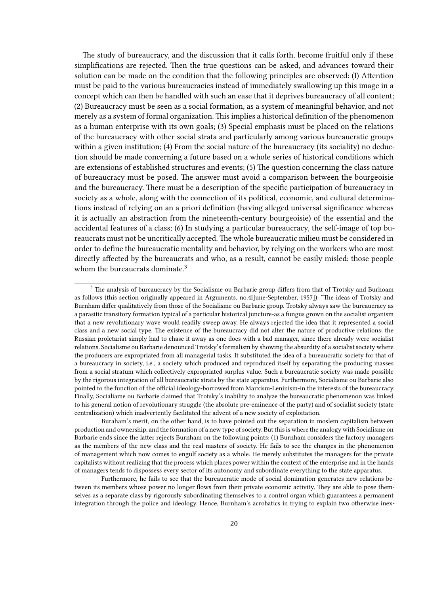The study of bureaucracy, and the discussion that it calls forth, become fruitful only if these simplifications are rejected. Then the true questions can be asked, and advances toward their solution can be made on the condition that the following principles are observed: (I) Attention must be paid to the various bureaucracies instead of immediately swallowing up this image in a concept which can then be handled with such an ease that it deprives bureaucracy of all content; (2) Bureaucracy must be seen as a social formation, as a system of meaningful behavior, and not merely as a system of formal organization. This implies a historical definition of the phenomenon as a human enterprise with its own goals; (3) Special emphasis must be placed on the relations of the bureaucracy with other social strata and particularly among various bureaucratic groups within a given institution; (4) From the social nature of the bureaucracy (its sociality) no deduction should be made concerning a future based on a whole series of historical conditions which are extensions of established structures and events; (5) The question concerning the class nature of bureaucracy must be posed. The answer must avoid a comparison between the bourgeoisie and the bureaucracy. There must be a description of the specific participation of bureaucracy in society as a whole, along with the connection of its political, economic, and cultural determinations instead of relying on an a priori definition (having alleged universal significance whereas it is actually an abstraction from the nineteenth-century bourgeoisie) of the essential and the accidental features of a class; (6) In studying a particular bureaucracy, the self-image of top bureaucrats must not be uncritically accepted. The whole bureaucratic milieu must be considered in order to define the bureaucratic mentality and behavior, by relying on the workers who are most directly affected by the bureaucrats and who, as a result, cannot be easily misled: those people whom the bureaucrats dominate.<sup>3</sup>

 $3$  The analysis of burcaucracy by the Socialisme ou Barbarie group differs from that of Trotsky and Burhoam as follows (this section originally appeared in Arguments, no.4l]une-September, 1957]): "The ideas of Trotsky and Burnham differ qualitatively from those of the Socialisme ou Barbarie group. Trotsky always saw the bureaucracy as a parasitic transitory formation typical of a particular historical juncture-as a fungus grown on the socialist organism that a new revolutionary wave would readily sweep away. He always rejected the idea that it represented a social class and a new social type. The existence of the bureaucracy did not alter the nature of productive relations: the Russian proletariat simply had to chase it away as one does with a bad manager, since there already were socialist relations. Socialisme ou Barbarie denounced Trotsky's formalism by showing the absurdity of a socialist society where the producers are expropriated from all managerial tasks. It substituted the idea of a bureaucratic society for that of a bureaucracy in society, i.e., a society which produced and reproduced itself by separating the producing masses from a social stratum which collectively expropriated surplus value. Such a bureaucratic society was made possible by the rigorous integration of all bureaucratic strata by the state apparatus. Furthermore, Socialisme ou Barbarie also pointed to the function of the official ideology-borrowed from Marxism-Leninism-in the interests of the bureaucracy. Finally, Socialiame ou Barbarie claimed that Trotsky's inability to analyze the bureaucratic phenomenon was linked to his general notion of revolutionary struggle (the absolute pre-eminence of the party) and of socialist society (state centralization) which inadvertently facilitated the advent of a new society of exploitation.

Buraham's merit, on the other hand, is to have pointed out the separation in moslem capitalism between production and ownership, and the formation of a new type of society. But this is where the analogy with Socialisme on Barbarie ends since the latter rejects Burnham on the following points: (1) Burnham considers the factory managers as the members of the new class and the real masters of society. He fails to see the changes in the phenomenon of management which now comes to engulf society as a whole. He merely substitutes the managers for the private capitalists without realizing that the process which places power within the context of the enterprise and in the hands of managers tends to dispossess every sector of its autonomy and subordinate everything to the state apparatus.

Furthermore, he fails to see that the bureaucratic mode of social domination generates new relations between its members whose power no longer flows from their private economic activity. They are able to pose themselves as a separate class by rigorously subordinating themselves to a control organ which guarantees a permanent integration through the police and ideology. Hence, Burnham's acrobatics in trying to explain two otherwise inex-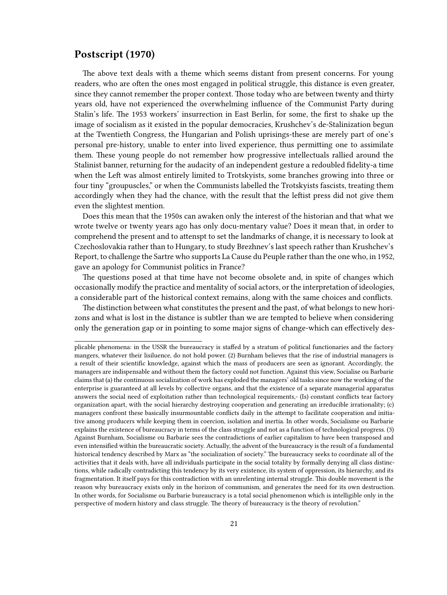## <span id="page-20-0"></span>**Postscript (1970)**

The above text deals with a theme which seems distant from present concerns. For young readers, who are often the ones most engaged in political struggle, this distance is even greater, since they cannot remember the proper context. Those today who are between twenty and thirty years old, have not experienced the overwhelming influence of the Communist Party during Stalin's life. The 1953 workers' insurrection in East Berlin, for some, the first to shake up the image of socialism as it existed in the popular democracies, Krushchev's de-Stalinization begun at the Twentieth Congress, the Hungarian and Polish uprisings-these are merely part of one's personal pre-history, unable to enter into lived experience, thus permitting one to assimilate them. These young people do not remember how progressive intellectuals rallied around the Stalinist banner, returning for the audacity of an independent gesture a redoubled fidelity-a time when the Left was almost entirely limited to Trotskyists, some branches growing into three or four tiny "groupuscles," or when the Communists labelled the Trotskyists fascists, treating them accordingly when they had the chance, with the result that the leftist press did not give them even the slightest mention.

Does this mean that the 1950s can awaken only the interest of the historian and that what we wrote twelve or twenty years ago has only docu-mentary value? Does it mean that, in order to comprehend the present and to attenspt to set the landmarks of change, it is necessary to look at Czechoslovakia rather than to Hungary, to study Brezhnev's last speech rather than Krushchev's Report, to challenge the Sartre who supports La Cause du Peuple rather than the one who, in 1952, gave an apology for Communist politics in France?

The questions posed at that time have not become obsolete and, in spite of changes which occasionally modify the practice and mentality of social actors, or the interpretation of ideologies, a considerable part of the historical context remains, along with the same choices and conflicts.

The distinction between what constitutes the present and the past, of what belongs to new horizons and what is lost in the distance is subtler than we are tempted to believe when considering only the generation gap or in pointing to some major signs of change-which can effectively des-

plicable phenomena: in the USSR the bureaucracy is staffed by a stratum of political functionaries and the factory mangers, whatever their lisiluence, do not hold power. (2) Burnham believes that the rise of industrial managers is a result of their scientific knowledge, against which the mass of producers are seen as ignorant. Accordingly, the managers are indispensable and without them the factory could not function. Against this view, Socialise ou Barbarie claims that (a) the continuous socialization of work has exploded the managers' old tasks since now the working of the enterprise is guaranteed at all levels by collective organs, and that the existence of a separate managerial apparatus answers the social need of exploitation rather than technological requirements,- (Is) constant conflicts tear factory organization apart, with the social hierarchy destroying cooperation and generating an irreducible irrationality; (c) managers confront these basically insurmountable conflicts daily in the attempt to facilitate cooperation and initiative among producers while keeping them in coercion, isolation and inertia. In other words, Socialisme ou Barbarie explains the existence of bureaucracy in terms of the class struggle and not as a function of technological progress. (3) Against Burnham, Socialisme ou Barbarie sees the contradictions of earlier capitalism to have been transposed and even intensified within the bureaucratic society. Actually, the advent of the bureaucracy is the result of a fundamental historical tendency described by Marx as "the socialization of society." The bureaucracy seeks to coordinate all of the activities that it deals with, have all individuals participate in the social totality by formally denying all class distinctions, while radically contradicting this tendency by its very existence, its system of oppression, its hierarchy, and its fragmentation. It itself pays for this contradiction with an unrelenting internal struggle. This double movement is the reason why bureaucracy exists only in the horizon of communism, and generates the need for its own destruction. In other words, for Socialisme ou Barbarie bureaucracy is a total social phenomenon which is intelligible only in the perspective of modern history and class struggle. The theory of bureaucracy is the theory of revolution."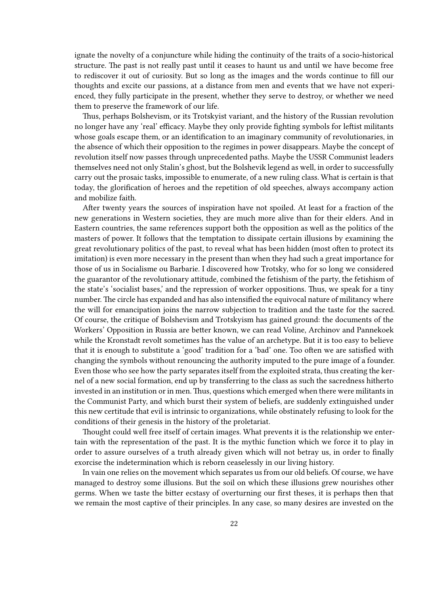ignate the novelty of a conjuncture while hiding the continuity of the traits of a socio-historical structure. The past is not really past until it ceases to haunt us and until we have become free to rediscover it out of curiosity. But so long as the images and the words continue to fill our thoughts and excite our passions, at a distance from men and events that we have not experienced, they fully participate in the present, whether they serve to destroy, or whether we need them to preserve the framework of our life.

Thus, perhaps Bolshevism, or its Trotskyist variant, and the history of the Russian revolution no longer have any 'real' efficacy. Maybe they only provide fighting symbols for leftist militants whose goals escape them, or an identification to an imaginary community of revolutionaries, in the absence of which their opposition to the regimes in power disappears. Maybe the concept of revolution itself now passes through unprecedented paths. Maybe the USSR Communist leaders themselves need not only Stalin's ghost, but the Bolshevik legend as well, in order to successfully carry out the prosaic tasks, impossible to enumerate, of a new ruling class. What is certain is that today, the glorification of heroes and the repetition of old speeches, always accompany action and mobilize faith.

After twenty years the sources of inspiration have not spoiled. At least for a fraction of the new generations in Western societies, they are much more alive than for their elders. And in Eastern countries, the same references support both the opposition as well as the politics of the masters of power. It follows that the temptation to dissipate certain illusions by examining the great revolutionary politics of the past, to reveal what has been hidden (most often to protect its imitation) is even more necessary in the present than when they had such a great importance for those of us in Socialisme ou Barbarie. I discovered how Trotsky, who for so long we considered the guarantor of the revolutionary attitude, combined the fetishism of the party, the fetishism of the state's 'socialist bases,' and the repression of worker oppositions. Thus, we speak for a tiny number. The circle has expanded and has also intensified the equivocal nature of militancy where the will for emancipation joins the narrow subjection to tradition and the taste for the sacred. Of course, the critique of Bolshevism and Trotskyism has gained ground: the documents of the Workers' Opposition in Russia are better known, we can read Voline, Archinov and Pannekoek while the Kronstadt revolt sometimes has the value of an archetype. But it is too easy to believe that it is enough to substitute a 'good' tradition for a 'bad' one. Too often we are satisfied with changing the symbols without renouncing the authority imputed to the pure image of a founder. Even those who see how the party separates itself from the exploited strata, thus creating the kernel of a new social formation, end up by transferring to the class as such the sacredness hitherto invested in an institution or in men. Thus, questions which emerged when there were militants in the Communist Party, and which burst their system of beliefs, are suddenly extinguished under this new certitude that evil is intrinsic to organizations, while obstinately refusing to look for the conditions of their genesis in the history of the proletariat.

Thought could well free itself of certain images. What prevents it is the relationship we entertain with the representation of the past. It is the mythic function which we force it to play in order to assure ourselves of a truth already given which will not betray us, in order to finally exorcise the indetermination which is reborn ceaselessly in our living history.

In vain one relies on the movement which separates us from our old beliefs. Of course, we have managed to destroy some illusions. But the soil on which these illusions grew nourishes other germs. When we taste the bitter ecstasy of overturning our first theses, it is perhaps then that we remain the most captive of their principles. In any case, so many desires are invested on the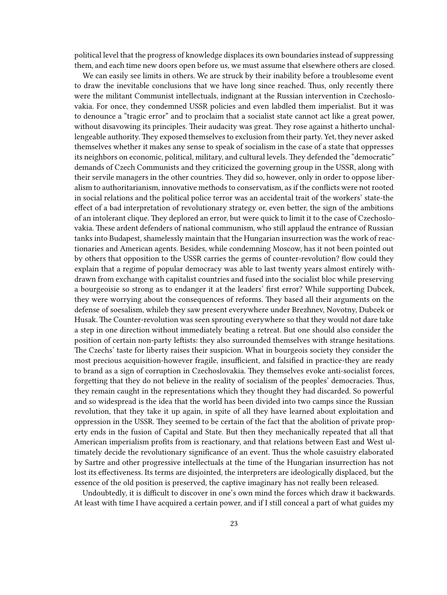political level that the progress of knowledge displaces its own boundaries instead of suppressing them, and each time new doors open before us, we must assume that elsewhere others are closed.

We can easily see limits in others. We are struck by their inability before a troublesome event to draw the inevitable conclusions that we have long since reached. Thus, only recently there were the militant Communist intellectuals, indignant at the Russian intervention in Czechoslovakia. For once, they condemned USSR policies and even labdled them imperialist. But it was to denounce a "tragic error" and to proclaim that a socialist state cannot act like a great power, without disavowing its principles. Their audacity was great. They rose against a hitherto unchallengeable authority. They exposed themselves to exclusion from their party. Yet, they never asked themselves whether it makes any sense to speak of socialism in the case of a state that oppresses its neighbors on economic, political, military, and cultural levels. They defended the "democratic" demands of Czech Communists and they criticized the governing group in the USSR, along with their servile managers in the other countries. They did so, however, only in order to oppose liberalism to authoritarianism, innovative methods to conservatism, as if the conflicts were not rooted in social relations and the political police terror was an accidental trait of the workers' state-the effect of a bad interpretation of revolutionary strategy or, even better, the sign of the ambitions of an intolerant clique. They deplored an error, but were quick to limit it to the case of Czechoslovakia. These ardent defenders of national communism, who still applaud the entrance of Russian tanks into Budapest, shamelessly maintain that the Hungarian insurrection was the work of reactionaries and American agents. Besides, while condemning Moscow, has it not been pointed out by others that opposition to the USSR carries the germs of counter-revolution? flow could they explain that a regime of popular democracy was able to last twenty years almost entirely withdrawn from exchange with capitalist countries and fused into the socialist bloc while preserving a bourgeoisie so strong as to endanger it at the leaders' first error? While supporting Dubcek, they were worrying about the consequences of reforms. They based all their arguments on the defense of soesalism, whileb they saw present everywhere under Brezhnev, Novotny, Dubcek or Husak. The Counter-revolution was seen sprouting everywhere so that they would not dare take a step in one direction without immediately beating a retreat. But one should also consider the position of certain non-party leftists: they also surrounded themselves with strange hesitations. The Czechs' taste for liberty raises their suspicion. What in bourgeois society they consider the most precious acquisition-however fragile, insufficient, and falsified in practice-they are ready to brand as a sign of corruption in Czechoslovakia. They themselves evoke anti-socialist forces, forgetting that they do not believe in the reality of socialism of the peoples' democracies. Thus, they remain caught in the representations which they thought they had discarded. So powerful and so widespread is the idea that the world has been divided into two camps since the Russian revolution, that they take it up again, in spite of all they have learned about exploitation and oppression in the USSR. They seemed to be certain of the fact that the abolition of private property ends in the fusion of Capital and State. But then they mechanically repeated that all that American imperialism profits from is reactionary, and that relations between East and West ultimately decide the revolutionary significance of an event. Thus the whole casuistry elaborated by Sartre and other progressive intellectuals at the time of the Hungarian insurrection has not lost its effectiveness. Its terms are disjointed, the interpreters are ideologically displaced, but the essence of the old position is preserved, the captive imaginary has not really been released.

Undoubtedly, it is difficult to discover in one's own mind the forces which draw it backwards. At least with time I have acquired a certain power, and if I still conceal a part of what guides my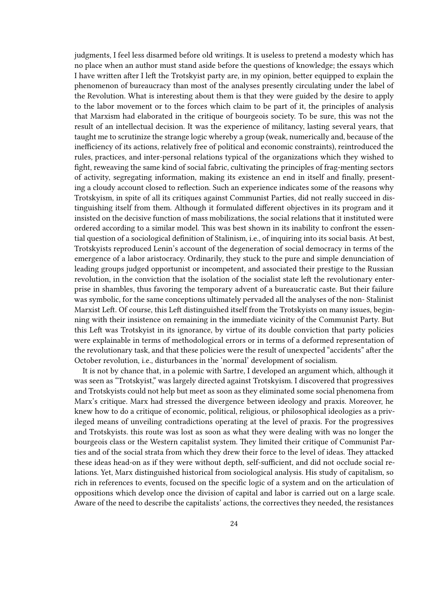judgments, I feel less disarmed before old writings. It is useless to pretend a modesty which has no place when an author must stand aside before the questions of knowledge; the essays which I have written after I left the Trotskyist party are, in my opinion, better equipped to explain the phenomenon of bureaucracy than most of the analyses presently circulating under the label of the Revolution. What is interesting about them is that they were guided by the desire to apply to the labor movement or to the forces which claim to be part of it, the principles of analysis that Marxism had elaborated in the critique of bourgeois society. To be sure, this was not the result of an intellectual decision. It was the experience of militancy, lasting several years, that taught me to scrutinize the strange logic whereby a group (weak, numerically and, because of the inefficiency of its actions, relatively free of political and economic constraints), reintroduced the rules, practices, and inter-personal relations typical of the organizations which they wished to fight, reweaving the same kind of social fabric, cultivating the principles of frag-menting sectors of activity, segregating information, making its existence an end in itself and finally, presenting a cloudy account closed to reflection. Such an experience indicates some of the reasons why Trotskyism, in spite of all its critiques against Communist Parties, did not really succeed in distinguishing itself from them. Although it formulated different objectives in its program and it insisted on the decisive function of mass mobilizations, the social relations that it instituted were ordered according to a similar model. This was best shown in its inability to confront the essential question of a sociological definition of Stalinism, i.e., of inquiring into its social basis. At best, Trotskyists reproduced Lenin's account of the degeneration of social democracy in terms of the emergence of a labor aristocracy. Ordinarily, they stuck to the pure and simple denunciation of leading groups judged opportunist or incompetent, and associated their prestige to the Russian revolution, in the conviction that the isolation of the socialist state left the revolutionary enterprise in shambles, thus favoring the temporary advent of a bureaucratic caste. But their failure was symbolic, for the same conceptions ultimately pervaded all the analyses of the non- Stalinist Marxist Left. Of course, this Left distinguished itself from the Trotskyists on many issues, beginning with their insistence on remaining in the immediate vicinity of the Communist Party. But this Left was Trotskyist in its ignorance, by virtue of its double conviction that party policies were explainable in terms of methodological errors or in terms of a deformed representation of the revolutionary task, and that these policies were the result of unexpected "accidents" after the October revolution, i.e., disturbances in the 'normal' development of socialism.

It is not by chance that, in a polemic with Sartre, I developed an argument which, although it was seen as "Trotskyist," was largely directed against Trotskyism. I discovered that progressives and Trotskyists could not help but meet as soon as they eliminated some social phenomena from Marx's critique. Marx had stressed the divergence between ideology and praxis. Moreover, he knew how to do a critique of economic, political, religious, or philosophical ideologies as a privileged means of unveiling contradictions operating at the level of praxis. For the progressives and Trotskyists. this route was lost as soon as what they were dealing with was no longer the bourgeois class or the Western capitalist system. They limited their critique of Communist Parties and of the social strata from which they drew their force to the level of ideas. They attacked these ideas head-on as if they were without depth, self-sufficient, and did not occlude social relations. Yet, Marx distinguished historical from sociological analysis. His study of capitalism, so rich in references to events, focused on the specific logic of a system and on the articulation of oppositions which develop once the division of capital and labor is carried out on a large scale. Aware of the need to describe the capitalists' actions, the correctives they needed, the resistances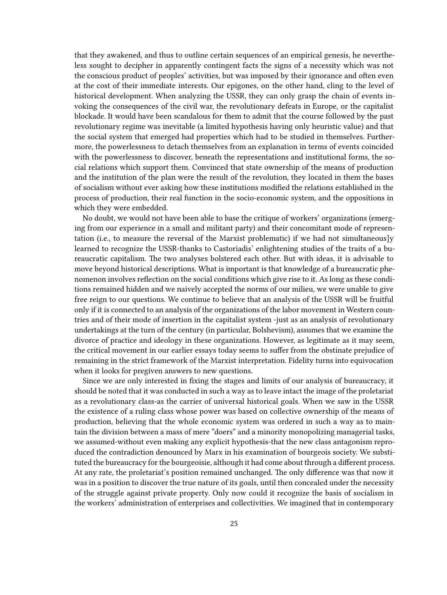that they awakened, and thus to outline certain sequences of an empirical genesis, he nevertheless sought to decipher in apparently contingent facts the signs of a necessity which was not the conscious product of peoples' activities, but was imposed by their ignorance and often even at the cost of their immediate interests. Our epigones, on the other hand, cling to the level of historical development. When analyzing the USSR, they can only grasp the chain of events invoking the consequences of the civil war, the revolutionary defeats in Europe, or the capitalist blockade. It would have been scandalous for them to admit that the course followed by the past revolutionary regime was inevitable (a limited hypothesis having only heuristic value) and that the social system that emerged had properties which had to be studied in themselves. Furthermore, the powerlessness to detach themselves from an explanation in terms of events coincided with the powerlessness to discover, beneath the representations and institutional forms, the social relations which support them. Convinced that state ownership of the means of production and the institution of the plan were the result of the revolution, they located in them the bases of socialism without ever asking how these institutions modified the relations established in the process of production, their real function in the socio-economic system, and the oppositions in which they were embedded.

No doubt, we would not have been able to base the critique of workers' organizations (emerging from our experience in a small and militant party) and their concomitant mode of representation (i.e., to measure the reversal of the Marxist problematic) if we had not simultaneous]y learned to recognize the USSR-thanks to Castoriadis' enlightening studies of the traits of a bureaucratic capitalism. The two analyses bolstered each other. But with ideas, it is advisable to move beyond historical descriptions. What is important is that knowledge of a bureaucratic phenomenon involves reflection on the social conditions which give rise to it. As long as these conditions remained hidden and we naively accepted the norms of our milieu, we were unable to give free reign to our questions. We continue to believe that an analysis of the USSR will be fruitful only if it is connected to an analysis of the organizations of the labor movement in Western countries and of their mode of insertion in the capitalist system -just as an analysis of revolutionary undertakings at the turn of the century (in particular, Bolshevism), assumes that we examine the divorce of practice and ideology in these organizations. However, as legitimate as it may seem, the critical movement in our earlier essays today seems to suffer from the obstinate prejudice of remaining in the strict framework of the Marxist interpretation. Fidelity turns into equivocation when it looks for pregiven answers to new questions.

Since we are only interested in fixing the stages and limits of our analysis of bureaucracy, it should be noted that it was conducted in such a way as to leave intact the image of the proletariat as a revolutionary class-as the carrier of universal historical goals. When we saw in the USSR the existence of a ruling class whose power was based on collective ownership of the means of production, believing that the whole economic system was ordered in such a way as to maintain the division between a mass of mere "doers" and a minority monopolizing managerial tasks, we assumed-without even making any explicit hypothesis-that the new class antagonism reproduced the contradiction denounced by Marx in his examination of bourgeois society. We substituted the bureaucracy for the bourgeoisie, although it had come about through a different process. At any rate, the proletariat's position remained unchanged. The only difference was that now it was in a position to discover the true nature of its goals, until then concealed under the necessity of the struggle against private property. Only now could it recognize the basis of socialism in the workers' administration of enterprises and collectivities. We imagined that in contemporary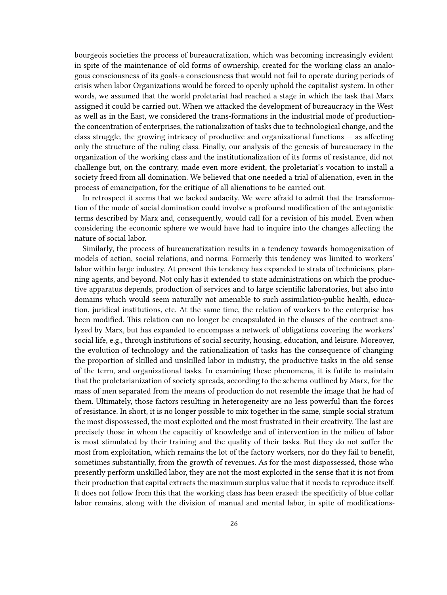bourgeois societies the process of bureaucratization, which was becoming increasingly evident in spite of the maintenance of old forms of ownership, created for the working class an analogous consciousness of its goals-a consciousness that would not fail to operate during periods of crisis when labor Organizations would be forced to openly uphold the capitalist system. In other words, we assumed that the world proletariat had reached a stage in which the task that Marx assigned it could be carried out. When we attacked the development of bureaucracy in the West as well as in the East, we considered the trans-formations in the industrial mode of productionthe concentration of enterprises, the rationalization of tasks due to technological change, and the class struggle, the growing intricacy of productive and organizational functions  $-$  as affecting only the structure of the ruling class. Finally, our analysis of the genesis of bureaucracy in the organization of the working class and the institutionalization of its forms of resistance, did not challenge but, on the contrary, made even more evident, the proletariat's vocation to install a society freed from all domination. We believed that one needed a trial of alienation, even in the process of emancipation, for the critique of all alienations to be carried out.

In retrospect it seems that we lacked audacity. We were afraid to admit that the transformation of the mode of social domination could involve a profound modification of the antagonistic terms described by Marx and, consequently, would call for a revision of his model. Even when considering the economic sphere we would have had to inquire into the changes affecting the nature of social labor.

Similarly, the process of bureaucratization results in a tendency towards homogenization of models of action, social relations, and norms. Formerly this tendency was limited to workers' labor within large industry. At present this tendency has expanded to strata of technicians, planning agents, and beyond. Not only has it extended to state administrations on which the productive apparatus depends, production of services and to large scientific laboratories, but also into domains which would seem naturally not amenable to such assimilation-public health, education, juridical institutions, etc. At the same time, the relation of workers to the enterprise has been modified. This relation can no longer be encapsulated in the clauses of the contract analyzed by Marx, but has expanded to encompass a network of obligations covering the workers' social life, e.g., through institutions of social security, housing, education, and leisure. Moreover, the evolution of technology and the rationalization of tasks has the consequence of changing the proportion of skilled and unskilled labor in industry, the productive tasks in the old sense of the term, and organizational tasks. In examining these phenomena, it is futile to maintain that the proletarianization of society spreads, according to the schema outlined by Marx, for the mass of men separated from the means of production do not resemble the image that he had of them. Ultimately, those factors resulting in heterogeneity are no less powerful than the forces of resistance. In short, it is no longer possible to mix together in the same, simple social stratum the most dispossessed, the most exploited and the most frustrated in their creativity. The last are precisely those in whom the capacitiy of knowledge and of intervention in the milieu of labor is most stimulated by their training and the quality of their tasks. But they do not suffer the most from exploitation, which remains the lot of the factory workers, nor do they fail to benefit, sometimes substantially, from the growth of revenues. As for the most dispossessed, those who presently perform unskilled labor, they are not the most exploited in the sense that it is not from their production that capital extracts the maximum surplus value that it needs to reproduce itself. It does not follow from this that the working class has been erased: the specificity of blue collar labor remains, along with the division of manual and mental labor, in spite of modifications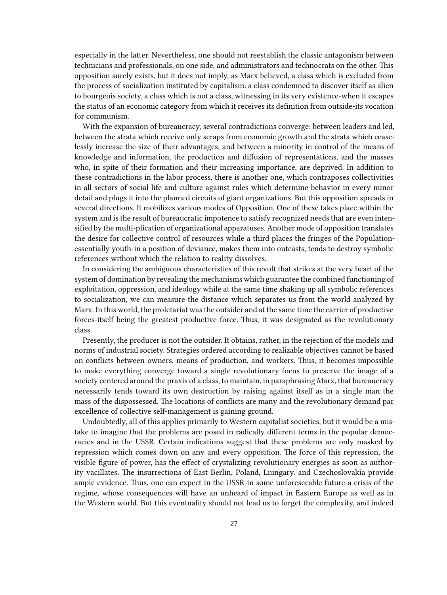especially in the latter. Nevertheless, one should not reestablish the classic antagonism between technicians and professionals, on one side, and administrators and technocrats on the other. This opposition surely exists, but it does not imply, as Marx believed, a class which is excluded from the process of socialization instituted by capitalism: a class condemned to discover itself as alien to bourgeois society, a class which is not a class, witnessing in its very existence-when it escapes the status of an economic category from which it receives its definition from outside-its vocation for communism.

With the expansion of bureaucracy, several contradictions converge: between leaders and led, between the strata which receive only scraps from economic growth and the strata which ceaselessly increase the size of their advantages, and between a minority in control of the means of knowledge and information, the production and diffusion of representations, and the masses who, in spite of their formation and their increasing importance, are deprived. In addition to these contradictions in the labor process, there is another one, which contraposes collectivities in all sectors of social life and culture against rules which determine behavior in every minor detail and plugs it into the planned circuits of giant organizations. But this opposition spreads in several directions. It mobilizes various modes of Opposition. One of these takes place within the system and is the result of bureaucratic impotence to satisfy recognized needs that are even intensified by the multi-plication of organizational apparatuses. Another mode of opposition translates the desire for collective control of resources while a third places the fringes of the Populationessentially youth-in a position of deviance, makes them into outcasts, tends to destroy symbolic references without which the relation to reality dissolves.

In considering the ambiguous characteristics of this revolt that strikes at the very heart of the system of domination by revealing the mechanisms which guarantee the combined functioning of exploitation, oppression, and ideology while at the same time shaking up all symbolic references to socialization, we can measure the distance which separates us from the world analyzed by Marx. In this world, the proletariat was the outsider and at the same time the carrier of productive forces-itself being the greatest productive force. Thus, it was designated as the revolutionary class.

Presently, the producer is not the outsider. It obtains, rather, in the rejection of the models and norms of industrial society. Strategies ordered according to realizable objectives cannot be based on conflicts between owners, means of production, and workers. Thus, it becomes impossible to make everything converge toward a single revolutionary focus to preserve the image of a society centered around the praxis of a class, to maintain, in paraphrasing Marx, that bureaucracy necessarily tends toward its own destruction by raising against itself as in a single man the mass of the dispossessed. The locations of conflicts are many and the revolutionary demand par excellence of collective self-management is gaining ground.

Undoubtedly, all of this applies primarily to Western capitalist societies, but it would be a mistake to imagine that the problems are posed in radically different terms in the popular democracies and in the USSR. Certain indications suggest that these problems are only masked by repression which comes down on any and every opposition. The force of this repression, the visible figure of power, has the effect of crystalizing revolutionary energies as soon as authority vacillates. The insurrections of East Berlin, Poland, Liungary. and Czechoslovakia provide ample evidence. Thus, one can expect in the USSR-in some unforesecable future-a crisis of the regime, whose consequences will have an unheard of impact in Eastern Europe as well as in the Western world. But this eventuality should not lead us to forget the complexity, and indeed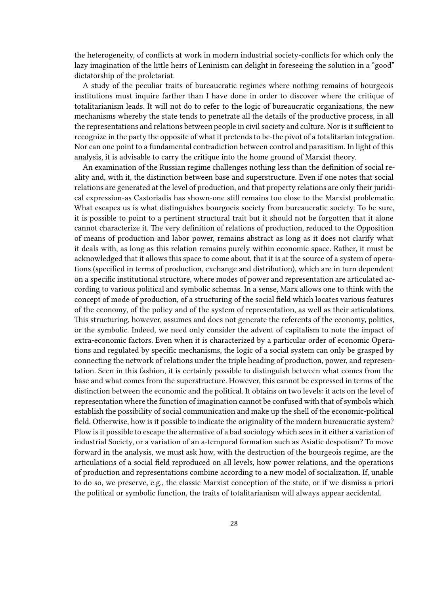the heterogeneity, of conflicts at work in modern industrial society-conflicts for which only the lazy imagination of the little heirs of Leninism can delight in foreseeing the solution in a "good" dictatorship of the proletariat.

A study of the peculiar traits of bureaucratic regimes where nothing remains of bourgeois institutions must inquire farther than I have done in order to discover where the critique of totalitarianism leads. It will not do to refer to the logic of bureaucratic organizations, the new mechanisms whereby the state tends to penetrate all the details of the productive process, in all the representations and relations between people in civil society and culture. Nor is it sufficient to recognize in the party the opposite of what it pretends to be-the pivot of a totalitarian integration. Nor can one point to a fundamental contradiction between control and parasitism. In light of this analysis, it is advisable to carry the critique into the home ground of Marxist theory.

An examination of the Russian regime challenges nothing less than the definition of social reality and, with it, the distinction between base and superstructure. Even if one notes that social relations are generated at the level of production, and that property relations are only their juridical expression-as Castoriadis has shown-one still remains too close to the Marxist problematic. What escapes us is what distinguishes bourgoeis society from bureaucratic society. To be sure, it is possible to point to a pertinent structural trait but it should not be forgotten that it alone cannot characterize it. The very definition of relations of production, reduced to the Opposition of means of production and labor power, remains abstract as long as it does not clarify what it deals with, as long as this relation remains purely within economic space. Rather, it must be acknowledged that it allows this space to come about, that it is at the source of a system of operations (specified in terms of production, exchange and distribution), which are in turn dependent on a specific institutional structure, where modes of power and representation are articulated according to various political and symbolic schemas. In a sense, Marx allows one to think with the concept of mode of production, of a structuring of the social field which locates various features of the economy, of the policy and of the system of representation, as well as their articulations. This structuring, however, assumes and does not generate the referents of the economy, politics, or the symbolic. Indeed, we need only consider the advent of capitalism to note the impact of extra-economic factors. Even when it is characterized by a particular order of economic Operations and regulated by specific mechanisms, the logic of a social system can only be grasped by connecting the network of relations under the triple heading of production, power, and representation. Seen in this fashion, it is certainly possible to distinguish between what comes from the base and what comes from the superstructure. However, this cannot be expressed in terms of the distinction between the economic and the political. It obtains on two levels: it acts on the level of representation where the function of imagination cannot be confused with that of symbols which establish the possibility of social communication and make up the shell of the economic-political field. Otherwise, how is it possible to indicate the originality of the modern bureaucratic system? Plow is it possible to escape the alternative of a bad sociology which sees in it either a variation of industrial Society, or a variation of an a-temporal formation such as Asiatic despotism? To move forward in the analysis, we must ask how, with the destruction of the bourgeois regime, are the articulations of a social field reproduced on all levels, how power relations, and the operations of production and representations combine according to a new model of socialization. If, unable to do so, we preserve, e.g., the classic Marxist conception of the state, or if we dismiss a priori the political or symbolic function, the traits of totalitarianism will always appear accidental.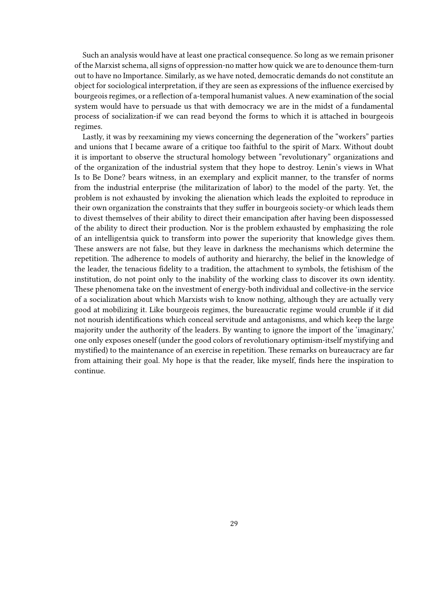Such an analysis would have at least one practical consequence. So long as we remain prisoner of the Marxist schema, all signs of oppression-no matter how quick we are to denounce them-turn out to have no Importance. Similarly, as we have noted, democratic demands do not constitute an object for sociological interpretation, if they are seen as expressions of the influence exercised by bourgeois regimes, or a reflection of a-temporal humanist values. A new examination of the social system would have to persuade us that with democracy we are in the midst of a fundamental process of socialization-if we can read beyond the forms to which it is attached in bourgeois regimes.

Lastly, it was by reexamining my views concerning the degeneration of the "workers" parties and unions that I became aware of a critique too faithful to the spirit of Marx. Without doubt it is important to observe the structural homology between "revolutionary" organizations and of the organization of the industrial system that they hope to destroy. Lenin's views in What Is to Be Done? bears witness, in an exemplary and explicit manner, to the transfer of norms from the industrial enterprise (the militarization of labor) to the model of the party. Yet, the problem is not exhausted by invoking the alienation which leads the exploited to reproduce in their own organization the constraints that they suffer in bourgeois society-or which leads them to divest themselves of their ability to direct their emancipation after having been dispossessed of the ability to direct their production. Nor is the problem exhausted by emphasizing the role of an intelligentsia quick to transform into power the superiority that knowledge gives them. These answers are not false, but they leave in darkness the mechanisms which determine the repetition. The adherence to models of authority and hierarchy, the belief in the knowledge of the leader, the tenacious fidelity to a tradition, the attachment to symbols, the fetishism of the institution, do not point only to the inability of the working class to discover its own identity. These phenomena take on the investment of energy-both individual and collective-in the service of a socialization about which Marxists wish to know nothing, although they are actually very good at mobilizing it. Like bourgeois regimes, the bureaucratic regime would crumble if it did not nourish identifications which conceal servitude and antagonisms, and which keep the large majority under the authority of the leaders. By wanting to ignore the import of the 'imaginary,' one only exposes oneself (under the good colors of revolutionary optimism-itself mystifying and mystified) to the maintenance of an exercise in repetition. These remarks on bureaucracy are far from attaining their goal. My hope is that the reader, like myself, finds here the inspiration to continue.